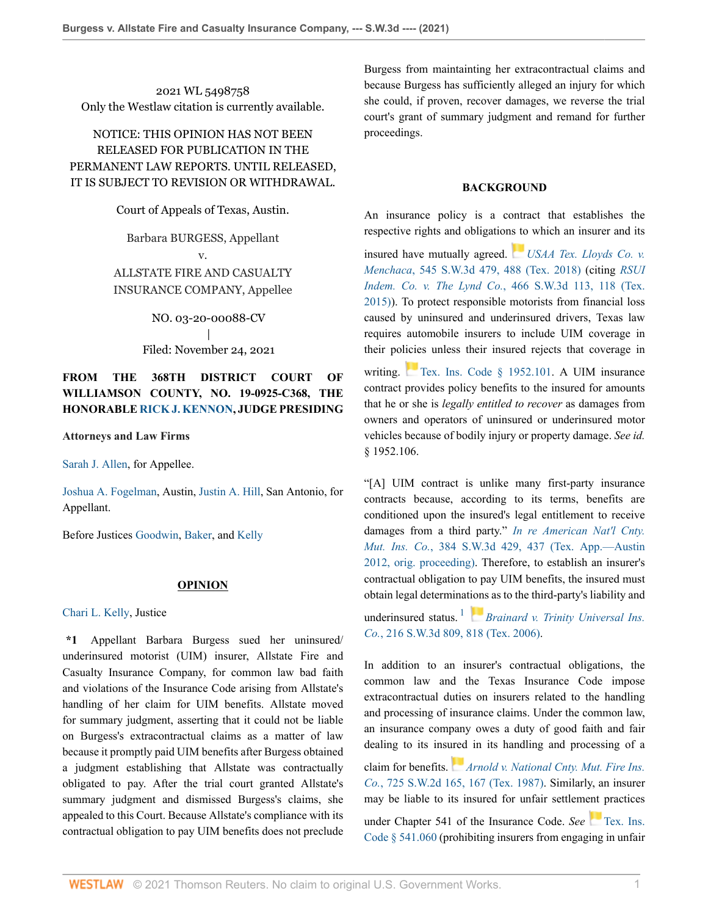2021 WL 5498758 Only the Westlaw citation is currently available.

## NOTICE: THIS OPINION HAS NOT BEEN RELEASED FOR PUBLICATION IN THE PERMANENT LAW REPORTS. UNTIL RELEASED, IT IS SUBJECT TO REVISION OR WITHDRAWAL.

Court of Appeals of Texas, Austin.

Barbara BURGESS, Appellant v. ALLSTATE FIRE AND CASUALTY INSURANCE COMPANY, Appellee

> NO. 03-20-00088-CV | Filed: November 24, 2021

## **FROM THE 368TH DISTRICT COURT OF WILLIAMSON COUNTY, NO. 19-0925-C368, THE HONORABLE [RICK J. KENNON,](http://www.westlaw.com/Link/Document/FullText?findType=h&pubNum=176284&cite=0188033501&originatingDoc=I3e80f1504d4611eca49eee526a477d8b&refType=RQ&originationContext=document&vr=3.0&rs=cblt1.0&transitionType=DocumentItem&contextData=(sc.Default)) JUDGE PRESIDING**

**Attorneys and Law Firms**

[Sarah J. Allen](http://www.westlaw.com/Link/Document/FullText?findType=h&pubNum=176284&cite=0468149501&originatingDoc=I3e80f1504d4611eca49eee526a477d8b&refType=RQ&originationContext=document&vr=3.0&rs=cblt1.0&transitionType=DocumentItem&contextData=(sc.Default)), for Appellee.

[Joshua A. Fogelman,](http://www.westlaw.com/Link/Document/FullText?findType=h&pubNum=176284&cite=0431025801&originatingDoc=I3e80f1504d4611eca49eee526a477d8b&refType=RQ&originationContext=document&vr=3.0&rs=cblt1.0&transitionType=DocumentItem&contextData=(sc.Default)) Austin, [Justin A. Hill](http://www.westlaw.com/Link/Document/FullText?findType=h&pubNum=176284&cite=0411685101&originatingDoc=I3e80f1504d4611eca49eee526a477d8b&refType=RQ&originationContext=document&vr=3.0&rs=cblt1.0&transitionType=DocumentItem&contextData=(sc.Default)), San Antonio, for Appellant.

Before Justices [Goodwin](http://www.westlaw.com/Link/Document/FullText?findType=h&pubNum=176284&cite=0372502401&originatingDoc=I3e80f1504d4611eca49eee526a477d8b&refType=RQ&originationContext=document&vr=3.0&rs=cblt1.0&transitionType=DocumentItem&contextData=(sc.Default)), [Baker](http://www.westlaw.com/Link/Document/FullText?findType=h&pubNum=176284&cite=0515576101&originatingDoc=I3e80f1504d4611eca49eee526a477d8b&refType=RQ&originationContext=document&vr=3.0&rs=cblt1.0&transitionType=DocumentItem&contextData=(sc.Default)), and [Kelly](http://www.westlaw.com/Link/Document/FullText?findType=h&pubNum=176284&cite=0515576401&originatingDoc=I3e80f1504d4611eca49eee526a477d8b&refType=RQ&originationContext=document&vr=3.0&rs=cblt1.0&transitionType=DocumentItem&contextData=(sc.Default))

### **OPINION**

[Chari L. Kelly,](http://www.westlaw.com/Link/Document/FullText?findType=h&pubNum=176284&cite=0515576401&originatingDoc=I3e80f1504d4611eca49eee526a477d8b&refType=RQ&originationContext=document&vr=3.0&rs=cblt1.0&transitionType=DocumentItem&contextData=(sc.Default)) Justice

**\*1** Appellant Barbara Burgess sued her uninsured/ underinsured motorist (UIM) insurer, Allstate Fire and Casualty Insurance Company, for common law bad faith and violations of the Insurance Code arising from Allstate's handling of her claim for UIM benefits. Allstate moved for summary judgment, asserting that it could not be liable on Burgess's extracontractual claims as a matter of law because it promptly paid UIM benefits after Burgess obtained a judgment establishing that Allstate was contractually obligated to pay. After the trial court granted Allstate's summary judgment and dismissed Burgess's claims, she appealed to this Court. Because Allstate's compliance with its contractual obligation to pay UIM benefits does not preclude

Burgess from maintainting her extracontractual claims and because Burgess has sufficiently alleged an injury for which she could, if proven, recover damages, we reverse the trial court's grant of summary judgment and remand for further proceedings.

### **BACKGROUND**

An insurance policy is a contract that establishes the respective rights and obligation[s to](https://1.next.westlaw.com/Link/RelatedInformation/Flag?documentGuid=Ic370bdd03f4111e89d97ba661a8e31a6&transitionType=InlineKeyCiteFlags&originationContext=docHeaderFlag&Rank=0&ppcid=789ba5403d2043929cb5701c49df8e38&contextData=(sc.Default) ) which an insurer and its

insured have mutually agreed. *[USAA Tex. Lloyds Co. v.](http://www.westlaw.com/Link/Document/FullText?findType=Y&serNum=2044350114&pubNum=0004644&originatingDoc=I3e80f1504d4611eca49eee526a477d8b&refType=RP&fi=co_pp_sp_4644_488&originationContext=document&vr=3.0&rs=cblt1.0&transitionType=DocumentItem&contextData=(sc.Default)#co_pp_sp_4644_488) Menchaca*[, 545 S.W.3d 479, 488 \(Tex. 2018\)](http://www.westlaw.com/Link/Document/FullText?findType=Y&serNum=2044350114&pubNum=0004644&originatingDoc=I3e80f1504d4611eca49eee526a477d8b&refType=RP&fi=co_pp_sp_4644_488&originationContext=document&vr=3.0&rs=cblt1.0&transitionType=DocumentItem&contextData=(sc.Default)#co_pp_sp_4644_488) (citing *[RSUI](http://www.westlaw.com/Link/Document/FullText?findType=Y&serNum=2036255730&pubNum=0004644&originatingDoc=I3e80f1504d4611eca49eee526a477d8b&refType=RP&fi=co_pp_sp_4644_118&originationContext=document&vr=3.0&rs=cblt1.0&transitionType=DocumentItem&contextData=(sc.Default)#co_pp_sp_4644_118) Indem. Co. v. The Lynd Co.*[, 466 S.W.3d 113, 118 \(Tex.](http://www.westlaw.com/Link/Document/FullText?findType=Y&serNum=2036255730&pubNum=0004644&originatingDoc=I3e80f1504d4611eca49eee526a477d8b&refType=RP&fi=co_pp_sp_4644_118&originationContext=document&vr=3.0&rs=cblt1.0&transitionType=DocumentItem&contextData=(sc.Default)#co_pp_sp_4644_118) [2015\)](http://www.westlaw.com/Link/Document/FullText?findType=Y&serNum=2036255730&pubNum=0004644&originatingDoc=I3e80f1504d4611eca49eee526a477d8b&refType=RP&fi=co_pp_sp_4644_118&originationContext=document&vr=3.0&rs=cblt1.0&transitionType=DocumentItem&contextData=(sc.Default)#co_pp_sp_4644_118)). To protect responsible motorists from financial loss caused by uninsured and underinsured drivers, Texas law requires automobile insurers to include UIM coverage in their policies unless their insured rejects that coverage in

writing. [Tex. Ins. Code § 1952.101](http://www.westlaw.com/Link/Document/FullText?findType=L&pubNum=1000178&cite=TXINS1952.101&originatingDoc=I3e80f1504d4611eca49eee526a477d8b&refType=LQ&originationContext=document&vr=3.0&rs=cblt1.0&transitionType=DocumentItem&contextData=(sc.Default)). A UIM insurance contract provides policy benefits to the insured for amounts that he or she is *legally entitled to recover* as damages from owners and operators of uninsured or underinsured motor vehicles because of bodily injury or property damage. *See id.* § 1952.106.

"[A] UIM contract is unlike many first-party insurance contracts because, according to its terms, benefits are conditioned upon the insured's legal entitlement to receive damages from a third party." *[In re American Nat'l Cnty.](http://www.westlaw.com/Link/Document/FullText?findType=Y&serNum=2028739853&pubNum=0004644&originatingDoc=I3e80f1504d4611eca49eee526a477d8b&refType=RP&fi=co_pp_sp_4644_437&originationContext=document&vr=3.0&rs=cblt1.0&transitionType=DocumentItem&contextData=(sc.Default)#co_pp_sp_4644_437) Mut. Ins. Co.*[, 384 S.W.3d 429, 437 \(Tex. App.—Austin](http://www.westlaw.com/Link/Document/FullText?findType=Y&serNum=2028739853&pubNum=0004644&originatingDoc=I3e80f1504d4611eca49eee526a477d8b&refType=RP&fi=co_pp_sp_4644_437&originationContext=document&vr=3.0&rs=cblt1.0&transitionType=DocumentItem&contextData=(sc.Default)#co_pp_sp_4644_437) [2012, orig. proceeding\).](http://www.westlaw.com/Link/Document/FullText?findType=Y&serNum=2028739853&pubNum=0004644&originatingDoc=I3e80f1504d4611eca49eee526a477d8b&refType=RP&fi=co_pp_sp_4644_437&originationContext=document&vr=3.0&rs=cblt1.0&transitionType=DocumentItem&contextData=(sc.Default)#co_pp_sp_4644_437) Therefore, to establish an insurer's contractual obligation to pay UIM benefits, the insured must obtain legal determinat[ions](https://1.next.westlaw.com/Link/RelatedInformation/Flag?documentGuid=I8a32595491c211db9127cf4cfcf88547&transitionType=InlineKeyCiteFlags&originationContext=docHeaderFlag&Rank=0&ppcid=789ba5403d2043929cb5701c49df8e38&contextData=(sc.Default) ) as to the third-party's liability and

<span id="page-0-0"></span>underinsured status. [1](#page-7-0) *[Brainard v. Trinity Universal Ins.](http://www.westlaw.com/Link/Document/FullText?findType=Y&serNum=2010959384&pubNum=0004644&originatingDoc=I3e80f1504d4611eca49eee526a477d8b&refType=RP&fi=co_pp_sp_4644_818&originationContext=document&vr=3.0&rs=cblt1.0&transitionType=DocumentItem&contextData=(sc.Default)#co_pp_sp_4644_818) Co.*[, 216 S.W.3d 809, 818 \(Tex. 2006\)](http://www.westlaw.com/Link/Document/FullText?findType=Y&serNum=2010959384&pubNum=0004644&originatingDoc=I3e80f1504d4611eca49eee526a477d8b&refType=RP&fi=co_pp_sp_4644_818&originationContext=document&vr=3.0&rs=cblt1.0&transitionType=DocumentItem&contextData=(sc.Default)#co_pp_sp_4644_818).

In addition to an insurer's contractual obligations, the common law and the Texas Insurance Code impose extracontractual duties on insurers related to the handling and processing of insurance claims. Under the common law, an insurance company owes a duty of good faith and fair dealing to its ins[ured](https://1.next.westlaw.com/Link/RelatedInformation/Flag?documentGuid=Ie968bb57e7a711d99439b076ef9ec4de&transitionType=InlineKeyCiteFlags&originationContext=docHeaderFlag&Rank=0&ppcid=789ba5403d2043929cb5701c49df8e38&contextData=(sc.Default) ) in its handling and processing of a claim for benefits. *[Arnold v. National Cnty. Mut. Fire Ins.](http://www.westlaw.com/Link/Document/FullText?findType=Y&serNum=1987011572&pubNum=0000713&originatingDoc=I3e80f1504d4611eca49eee526a477d8b&refType=RP&fi=co_pp_sp_713_167&originationContext=document&vr=3.0&rs=cblt1.0&transitionType=DocumentItem&contextData=(sc.Default)#co_pp_sp_713_167) Co.*[, 725 S.W.2d 165, 167 \(Tex. 1987\)](http://www.westlaw.com/Link/Document/FullText?findType=Y&serNum=1987011572&pubNum=0000713&originatingDoc=I3e80f1504d4611eca49eee526a477d8b&refType=RP&fi=co_pp_sp_713_167&originationContext=document&vr=3.0&rs=cblt1.0&transitionType=DocumentItem&contextData=(sc.Default)#co_pp_sp_713_167). Similarly, an insurer may be liable to its insured for unfair settlem[ent](https://1.next.westlaw.com/Link/RelatedInformation/Flag?documentGuid=N2D728030BE7511D9BDF79F56AB79CECB&transitionType=InlineKeyCiteFlags&originationContext=docHeaderFlag&Rank=0&ppcid=789ba5403d2043929cb5701c49df8e38&contextData=(sc.Default) ) practices under Chapter 541 of the Insurance Code. *See* [Tex. Ins.](http://www.westlaw.com/Link/Document/FullText?findType=L&pubNum=1000178&cite=TXINS541.060&originatingDoc=I3e80f1504d4611eca49eee526a477d8b&refType=LQ&originationContext=document&vr=3.0&rs=cblt1.0&transitionType=DocumentItem&contextData=(sc.Default)) [Code § 541.060](http://www.westlaw.com/Link/Document/FullText?findType=L&pubNum=1000178&cite=TXINS541.060&originatingDoc=I3e80f1504d4611eca49eee526a477d8b&refType=LQ&originationContext=document&vr=3.0&rs=cblt1.0&transitionType=DocumentItem&contextData=(sc.Default)) (prohibiting insurers from engaging in unfair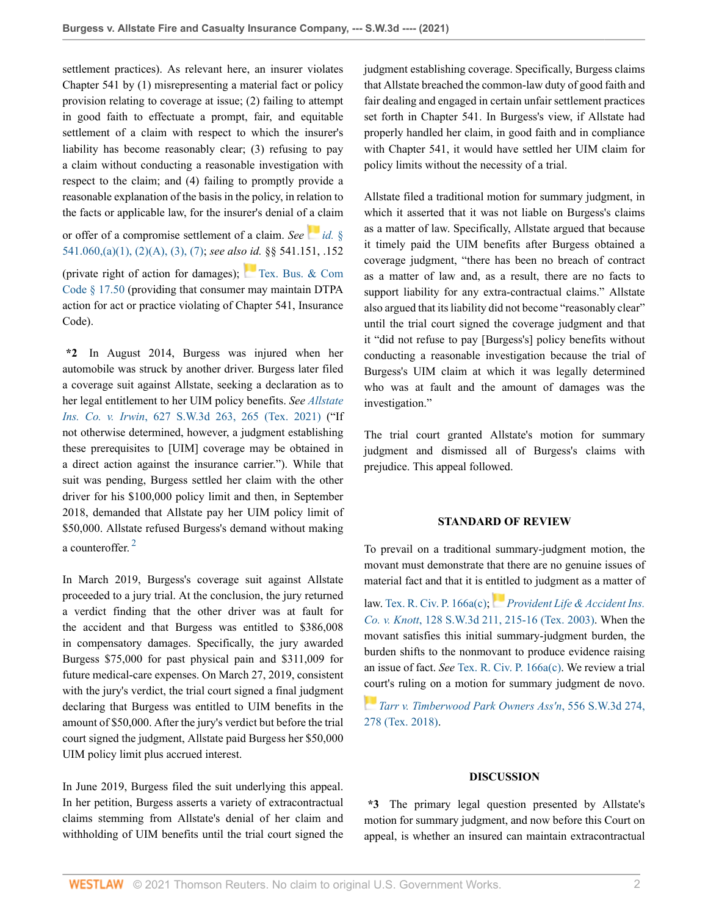settlement practices). As relevant here, an insurer violates Chapter 541 by (1) misrepresenting a material fact or policy provision relating to coverage at issue; (2) failing to attempt in good faith to effectuate a prompt, fair, and equitable settlement of a claim with respect to which the insurer's liability has become reasonably clear; (3) refusing to pay a claim without conducting a reasonable investigation with respect to the claim; and (4) failing to promptly provide a reasonable explanation of the basis in the policy, in relation to the facts or applicable law, for the insurer's denial of [a c](https://1.next.westlaw.com/Link/RelatedInformation/Flag?documentGuid=N2D728030BE7511D9BDF79F56AB79CECB&transitionType=InlineKeyCiteFlags&originationContext=docHeaderFlag&Rank=0&ppcid=789ba5403d2043929cb5701c49df8e38&contextData=(sc.Default) )laim

or offer of a compromise settlement of a claim. *See [id.](http://www.westlaw.com/Link/Document/FullText?findType=L&pubNum=1000178&cite=TXINS541.060&originatingDoc=I3e80f1504d4611eca49eee526a477d8b&refType=SP&originationContext=document&vr=3.0&rs=cblt1.0&transitionType=DocumentItem&contextData=(sc.Default)#co_pp_7b9b000044381)* § [541.060,\(a\)\(1\), \(2\)\(A\), \(3\), \(7\)](http://www.westlaw.com/Link/Document/FullText?findType=L&pubNum=1000178&cite=TXINS541.060&originatingDoc=I3e80f1504d4611eca49eee526a477d8b&refType=SP&originationContext=document&vr=3.0&rs=cblt1.0&transitionType=DocumentItem&contextData=(sc.Default)#co_pp_7b9b000044381); *see also id.* §§ 541.151, .152 (private right of action for damages); [Tex. Bus. & Com](http://www.westlaw.com/Link/Document/FullText?findType=L&pubNum=1000168&cite=TXBCS17.50&originatingDoc=I3e80f1504d4611eca49eee526a477d8b&refType=LQ&originationContext=document&vr=3.0&rs=cblt1.0&transitionType=DocumentItem&contextData=(sc.Default)) [Code § 17.50](http://www.westlaw.com/Link/Document/FullText?findType=L&pubNum=1000168&cite=TXBCS17.50&originatingDoc=I3e80f1504d4611eca49eee526a477d8b&refType=LQ&originationContext=document&vr=3.0&rs=cblt1.0&transitionType=DocumentItem&contextData=(sc.Default)) (providing that consumer may maintain DTPA action for act or practice violating of Chapter 541, Insurance Code).

**\*2** In August 2014, Burgess was injured when her automobile was struck by another driver. Burgess later filed a coverage suit against Allstate, seeking a declaration as to her legal entitlement to her UIM policy benefits. *See [Allstate](http://www.westlaw.com/Link/Document/FullText?findType=Y&serNum=2053674681&pubNum=0004644&originatingDoc=I3e80f1504d4611eca49eee526a477d8b&refType=RP&fi=co_pp_sp_4644_265&originationContext=document&vr=3.0&rs=cblt1.0&transitionType=DocumentItem&contextData=(sc.Default)#co_pp_sp_4644_265) Ins. Co. v. Irwin*[, 627 S.W.3d 263, 265 \(Tex. 2021\)](http://www.westlaw.com/Link/Document/FullText?findType=Y&serNum=2053674681&pubNum=0004644&originatingDoc=I3e80f1504d4611eca49eee526a477d8b&refType=RP&fi=co_pp_sp_4644_265&originationContext=document&vr=3.0&rs=cblt1.0&transitionType=DocumentItem&contextData=(sc.Default)#co_pp_sp_4644_265) ("If not otherwise determined, however, a judgment establishing these prerequisites to [UIM] coverage may be obtained in a direct action against the insurance carrier."). While that suit was pending, Burgess settled her claim with the other driver for his \$100,000 policy limit and then, in September 2018, demanded that Allstate pay her UIM policy limit of \$50,000. Allstate refused Burgess's demand without making a counteroffer.<sup>[2](#page-7-1)</sup>

<span id="page-1-0"></span>In March 2019, Burgess's coverage suit against Allstate proceeded to a jury trial. At the conclusion, the jury returned a verdict finding that the other driver was at fault for the accident and that Burgess was entitled to \$386,008 in compensatory damages. Specifically, the jury awarded Burgess \$75,000 for past physical pain and \$311,009 for future medical-care expenses. On March 27, 2019, consistent with the jury's verdict, the trial court signed a final judgment declaring that Burgess was entitled to UIM benefits in the amount of \$50,000. After the jury's verdict but before the trial court signed the judgment, Allstate paid Burgess her \$50,000 UIM policy limit plus accrued interest.

In June 2019, Burgess filed the suit underlying this appeal. In her petition, Burgess asserts a variety of extracontractual claims stemming from Allstate's denial of her claim and withholding of UIM benefits until the trial court signed the judgment establishing coverage. Specifically, Burgess claims that Allstate breached the common-law duty of good faith and fair dealing and engaged in certain unfair settlement practices set forth in Chapter 541. In Burgess's view, if Allstate had properly handled her claim, in good faith and in compliance with Chapter 541, it would have settled her UIM claim for policy limits without the necessity of a trial.

Allstate filed a traditional motion for summary judgment, in which it asserted that it was not liable on Burgess's claims as a matter of law. Specifically, Allstate argued that because it timely paid the UIM benefits after Burgess obtained a coverage judgment, "there has been no breach of contract as a matter of law and, as a result, there are no facts to support liability for any extra-contractual claims." Allstate also argued that its liability did not become "reasonably clear" until the trial court signed the coverage judgment and that it "did not refuse to pay [Burgess's] policy benefits without conducting a reasonable investigation because the trial of Burgess's UIM claim at which it was legally determined who was at fault and the amount of damages was the investigation."

The trial court granted Allstate's motion for summary judgment and dismissed all of Burgess's claims with prejudice. This appeal followed.

### **STANDARD OF REVIEW**

To prevail on a traditional summary-judgment motion, the movant must demonstrate that there are no genuine issues of material fact and that it is e[ntitl](https://1.next.westlaw.com/Link/RelatedInformation/Flag?documentGuid=I2df7505ae7e511d99439b076ef9ec4de&transitionType=InlineKeyCiteFlags&originationContext=docHeaderFlag&Rank=0&ppcid=789ba5403d2043929cb5701c49df8e38&contextData=(sc.Default) )ed to judgment as a matter of

law. [Tex. R. Civ. P. 166a\(c\)](http://www.westlaw.com/Link/Document/FullText?findType=L&pubNum=1003817&cite=TXRRCPR166A&originatingDoc=I3e80f1504d4611eca49eee526a477d8b&refType=LQ&originationContext=document&vr=3.0&rs=cblt1.0&transitionType=DocumentItem&contextData=(sc.Default)); *[Provident Life & Accident Ins.](http://www.westlaw.com/Link/Document/FullText?findType=Y&serNum=2003939419&pubNum=0004644&originatingDoc=I3e80f1504d4611eca49eee526a477d8b&refType=RP&fi=co_pp_sp_4644_215&originationContext=document&vr=3.0&rs=cblt1.0&transitionType=DocumentItem&contextData=(sc.Default)#co_pp_sp_4644_215) Co. v. Knott*[, 128 S.W.3d 211, 215-16 \(Tex. 2003\)](http://www.westlaw.com/Link/Document/FullText?findType=Y&serNum=2003939419&pubNum=0004644&originatingDoc=I3e80f1504d4611eca49eee526a477d8b&refType=RP&fi=co_pp_sp_4644_215&originationContext=document&vr=3.0&rs=cblt1.0&transitionType=DocumentItem&contextData=(sc.Default)#co_pp_sp_4644_215). When the movant satisfies this initial summary-judgment burden, the burden shifts to the nonmovant to produce evidence raising an issue of fact. *See* [Tex. R. Civ. P. 166a\(c\)](http://www.westlaw.com/Link/Document/FullText?findType=L&pubNum=1003817&cite=TXRRCPR166A&originatingDoc=I3e80f1504d4611eca49eee526a477d8b&refType=LQ&originationContext=document&vr=3.0&rs=cblt1.0&transitionType=DocumentItem&contextData=(sc.Default)). We review a trial [cou](https://1.next.westlaw.com/Link/RelatedInformation/Flag?documentGuid=I3e1e93b0603311e88808c81b5a222cba&transitionType=InlineKeyCiteFlags&originationContext=docHeaderFlag&Rank=0&ppcid=789ba5403d2043929cb5701c49df8e38&contextData=(sc.Default) )rt's ruling on a motion for summary judgment de novo.

*[Tarr v. Timberwood Park Owners Ass'n](http://www.westlaw.com/Link/Document/FullText?findType=Y&serNum=2044613872&pubNum=0004644&originatingDoc=I3e80f1504d4611eca49eee526a477d8b&refType=RP&fi=co_pp_sp_4644_278&originationContext=document&vr=3.0&rs=cblt1.0&transitionType=DocumentItem&contextData=(sc.Default)#co_pp_sp_4644_278)*, 556 S.W.3d 274, [278 \(Tex. 2018\)](http://www.westlaw.com/Link/Document/FullText?findType=Y&serNum=2044613872&pubNum=0004644&originatingDoc=I3e80f1504d4611eca49eee526a477d8b&refType=RP&fi=co_pp_sp_4644_278&originationContext=document&vr=3.0&rs=cblt1.0&transitionType=DocumentItem&contextData=(sc.Default)#co_pp_sp_4644_278).

### **DISCUSSION**

**\*3** The primary legal question presented by Allstate's motion for summary judgment, and now before this Court on appeal, is whether an insured can maintain extracontractual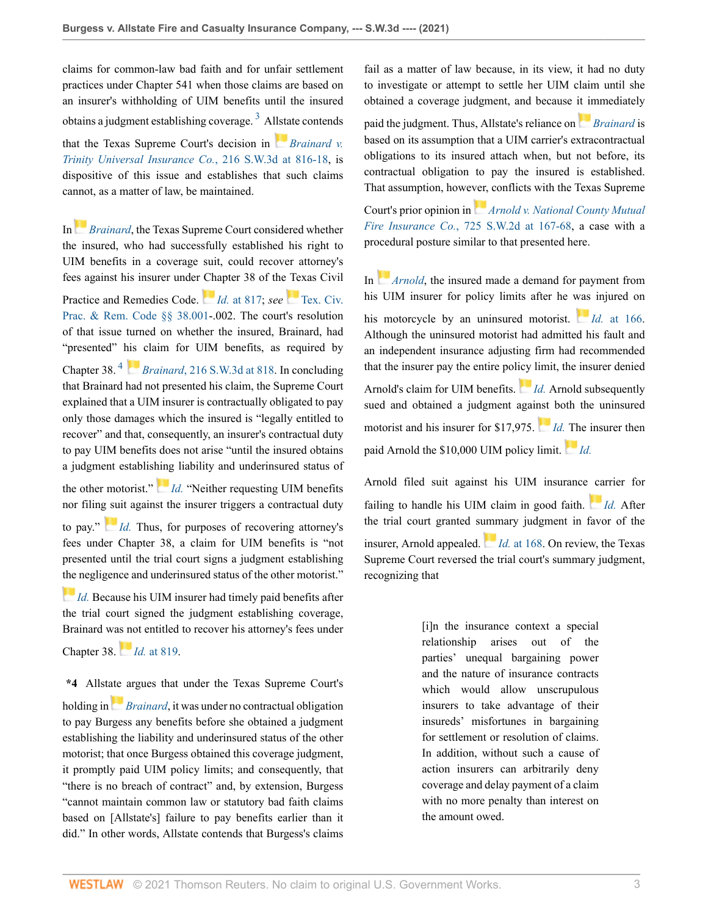claims for common-law bad faith and for unfair settlement practices under Chapter 541 when those claims are based on an insurer's withholding of UIM benefits until the insured obtains a judgment establishing coverage.<sup>[3](#page-7-2)</sup> A[llsta](https://1.next.westlaw.com/Link/RelatedInformation/Flag?documentGuid=I8a32595491c211db9127cf4cfcf88547&transitionType=InlineKeyCiteFlags&originationContext=docHeaderFlag&Rank=0&ppcid=789ba5403d2043929cb5701c49df8e38&contextData=(sc.Default) )te contends that the Texas Supreme Court's decision in *[Brainard v.](http://www.westlaw.com/Link/Document/FullText?findType=Y&serNum=2010959384&pubNum=0004644&originatingDoc=I3e80f1504d4611eca49eee526a477d8b&refType=RP&fi=co_pp_sp_4644_816&originationContext=document&vr=3.0&rs=cblt1.0&transitionType=DocumentItem&contextData=(sc.Default)#co_pp_sp_4644_816) [Trinity Universal Insurance Co.](http://www.westlaw.com/Link/Document/FullText?findType=Y&serNum=2010959384&pubNum=0004644&originatingDoc=I3e80f1504d4611eca49eee526a477d8b&refType=RP&fi=co_pp_sp_4644_816&originationContext=document&vr=3.0&rs=cblt1.0&transitionType=DocumentItem&contextData=(sc.Default)#co_pp_sp_4644_816)*, 216 S.W.3d at 816-18, is dispositive of this issue and establishes that such claims cannot, as a matter of law, be maintained.

In*[Brainard](http://www.westlaw.com/Link/Document/FullText?findType=Y&serNum=2010959384&pubNum=0004644&originatingDoc=I3e80f1504d4611eca49eee526a477d8b&refType=RP&originationContext=document&vr=3.0&rs=cblt1.0&transitionType=DocumentItem&contextData=(sc.Default))*, the Texas Supreme Court considered whether the insured, who had successfully established his right to UIM benefits in a coverage suit, could recover attorney's fees against his insurer under [Cha](https://1.next.westlaw.com/Link/RelatedInformation/Flag?documentGuid=I8a32595491c211db9127cf4cfcf88547&transitionType=InlineKeyCiteFlags&originationContext=docHeaderFlag&Rank=0&ppcid=789ba5403d2043929cb5701c49df8e38&contextData=(sc.Default) )pter 38 of the [Tex](https://1.next.westlaw.com/Link/RelatedInformation/Flag?documentGuid=N60173BE0D01811EBAAF7E6C49C753233&transitionType=InlineKeyCiteFlags&originationContext=docHeaderFlag&Rank=0&ppcid=789ba5403d2043929cb5701c49df8e38&contextData=(sc.Default) )as Civil Practice and Remedies Code. *Id.* [at 817;](http://www.westlaw.com/Link/Document/FullText?findType=Y&serNum=2010959384&pubNum=0004644&originatingDoc=I3e80f1504d4611eca49eee526a477d8b&refType=RP&fi=co_pp_sp_4644_817&originationContext=document&vr=3.0&rs=cblt1.0&transitionType=DocumentItem&contextData=(sc.Default)#co_pp_sp_4644_817) *see* [Tex. Civ.](http://www.westlaw.com/Link/Document/FullText?findType=L&pubNum=1000170&cite=TXCPS38.001&originatingDoc=I3e80f1504d4611eca49eee526a477d8b&refType=LQ&originationContext=document&vr=3.0&rs=cblt1.0&transitionType=DocumentItem&contextData=(sc.Default)) [Prac. & Rem. Code §§ 38.001-](http://www.westlaw.com/Link/Document/FullText?findType=L&pubNum=1000170&cite=TXCPS38.001&originatingDoc=I3e80f1504d4611eca49eee526a477d8b&refType=LQ&originationContext=document&vr=3.0&rs=cblt1.0&transitionType=DocumentItem&contextData=(sc.Default)).002. The court's resolution of that issue turned on whether the insured, Brainard, had "presented" [his](https://1.next.westlaw.com/Link/RelatedInformation/Flag?documentGuid=I8a32595491c211db9127cf4cfcf88547&transitionType=InlineKeyCiteFlags&originationContext=docHeaderFlag&Rank=0&ppcid=789ba5403d2043929cb5701c49df8e38&contextData=(sc.Default) ) claim for UIM benefits, as required by Chapter 38. [4](#page-8-0) *Brainard*[, 216 S.W.3d at 818](http://www.westlaw.com/Link/Document/FullText?findType=Y&serNum=2010959384&pubNum=0004644&originatingDoc=I3e80f1504d4611eca49eee526a477d8b&refType=RP&fi=co_pp_sp_4644_818&originationContext=document&vr=3.0&rs=cblt1.0&transitionType=DocumentItem&contextData=(sc.Default)#co_pp_sp_4644_818). In concluding that Brainard had not presented his claim, the Supreme Court explained that a UIM insurer is contractually obligated to pay only those damages which the insured is "legally entitled to recover" and that, consequently, an insurer's contractual duty to pay UIM benefits does not arise "until the insured obtains

the other motorist." *[Id.](http://www.westlaw.com/Link/Document/FullText?findType=Y&serNum=2010959384&pubNum=0004644&originatingDoc=I3e80f1504d4611eca49eee526a477d8b&refType=RP&originationContext=document&vr=3.0&rs=cblt1.0&transitionType=DocumentItem&contextData=(sc.Default))* "Neither requesting UIM benefits nor filin[g su](https://1.next.westlaw.com/Link/RelatedInformation/Flag?documentGuid=I8a32595491c211db9127cf4cfcf88547&transitionType=InlineKeyCiteFlags&originationContext=docHeaderFlag&Rank=0&ppcid=789ba5403d2043929cb5701c49df8e38&contextData=(sc.Default) )it against the insurer triggers a contractual duty

<span id="page-2-1"></span>a judgment establis[hing](https://1.next.westlaw.com/Link/RelatedInformation/Flag?documentGuid=I8a32595491c211db9127cf4cfcf88547&transitionType=InlineKeyCiteFlags&originationContext=docHeaderFlag&Rank=0&ppcid=789ba5403d2043929cb5701c49df8e38&contextData=(sc.Default) ) liability and underinsured status of

to pay." *[Id.](http://www.westlaw.com/Link/Document/FullText?findType=Y&serNum=2010959384&pubNum=0004644&originatingDoc=I3e80f1504d4611eca49eee526a477d8b&refType=RP&originationContext=document&vr=3.0&rs=cblt1.0&transitionType=DocumentItem&contextData=(sc.Default))* Thus, for purposes of recovering attorney's fees under Chapter 38, a claim for UIM benefits is "not presented until the trial court signs a judgment establishing [the](https://1.next.westlaw.com/Link/RelatedInformation/Flag?documentGuid=I8a32595491c211db9127cf4cfcf88547&transitionType=InlineKeyCiteFlags&originationContext=docHeaderFlag&Rank=0&ppcid=789ba5403d2043929cb5701c49df8e38&contextData=(sc.Default) ) negligence and underinsured status of the other motorist."

*[Id.](http://www.westlaw.com/Link/Document/FullText?findType=Y&serNum=2010959384&pubNum=0004644&originatingDoc=I3e80f1504d4611eca49eee526a477d8b&refType=RP&originationContext=document&vr=3.0&rs=cblt1.0&transitionType=DocumentItem&contextData=(sc.Default))* Because his UIM insurer had timely paid benefits after the trial court signed the judgment establishing coverage, Brainard w[as no](https://1.next.westlaw.com/Link/RelatedInformation/Flag?documentGuid=I8a32595491c211db9127cf4cfcf88547&transitionType=InlineKeyCiteFlags&originationContext=docHeaderFlag&Rank=0&ppcid=789ba5403d2043929cb5701c49df8e38&contextData=(sc.Default) )t entitled to recover his attorney's fees under

Chapter 38. *Id.* [at 819.](http://www.westlaw.com/Link/Document/FullText?findType=Y&serNum=2010959384&pubNum=0004644&originatingDoc=I3e80f1504d4611eca49eee526a477d8b&refType=RP&fi=co_pp_sp_4644_819&originationContext=document&vr=3.0&rs=cblt1.0&transitionType=DocumentItem&contextData=(sc.Default)#co_pp_sp_4644_819)

**\*4** Allst[ate](https://1.next.westlaw.com/Link/RelatedInformation/Flag?documentGuid=I8a32595491c211db9127cf4cfcf88547&transitionType=InlineKeyCiteFlags&originationContext=docHeaderFlag&Rank=0&ppcid=789ba5403d2043929cb5701c49df8e38&contextData=(sc.Default) ) argues that under the Texas Supreme Court's

holding in *[Brainard](http://www.westlaw.com/Link/Document/FullText?findType=Y&serNum=2010959384&pubNum=0004644&originatingDoc=I3e80f1504d4611eca49eee526a477d8b&refType=RP&originationContext=document&vr=3.0&rs=cblt1.0&transitionType=DocumentItem&contextData=(sc.Default))*, it was under no contractual obligation to pay Burgess any benefits before she obtained a judgment establishing the liability and underinsured status of the other motorist; that once Burgess obtained this coverage judgment, it promptly paid UIM policy limits; and consequently, that "there is no breach of contract" and, by extension, Burgess "cannot maintain common law or statutory bad faith claims based on [Allstate's] failure to pay benefits earlier than it did." In other words, Allstate contends that Burgess's claims fail as a matter of law because, in its view, it had no duty to investigate or attempt to settle her UIM claim until she obtained a coverage judgment, and because [it im](https://1.next.westlaw.com/Link/RelatedInformation/Flag?documentGuid=I8a32595491c211db9127cf4cfcf88547&transitionType=InlineKeyCiteFlags&originationContext=docHeaderFlag&Rank=0&ppcid=789ba5403d2043929cb5701c49df8e38&contextData=(sc.Default) )mediately

<span id="page-2-0"></span>paid the judgment. Thus, Allstate's reliance on *[Brainard](http://www.westlaw.com/Link/Document/FullText?findType=Y&serNum=2010959384&pubNum=0004644&originatingDoc=I3e80f1504d4611eca49eee526a477d8b&refType=RP&originationContext=document&vr=3.0&rs=cblt1.0&transitionType=DocumentItem&contextData=(sc.Default))* is based on its assumption that a UIM carrier's extracontractual obligations to its insured attach when, but not before, its contractual obligation to pay the insured is established. That assumption, howe[ver,](https://1.next.westlaw.com/Link/RelatedInformation/Flag?documentGuid=Ie968bb57e7a711d99439b076ef9ec4de&transitionType=InlineKeyCiteFlags&originationContext=docHeaderFlag&Rank=0&ppcid=789ba5403d2043929cb5701c49df8e38&contextData=(sc.Default) ) conflicts with the Texas Supreme

Court's prior opinion in *[Arnold v. National County Mutual](http://www.westlaw.com/Link/Document/FullText?findType=Y&serNum=1987011572&pubNum=0000713&originatingDoc=I3e80f1504d4611eca49eee526a477d8b&refType=RP&fi=co_pp_sp_713_167&originationContext=document&vr=3.0&rs=cblt1.0&transitionType=DocumentItem&contextData=(sc.Default)#co_pp_sp_713_167) Fire Insurance Co.*[, 725 S.W.2d at 167-68](http://www.westlaw.com/Link/Document/FullText?findType=Y&serNum=1987011572&pubNum=0000713&originatingDoc=I3e80f1504d4611eca49eee526a477d8b&refType=RP&fi=co_pp_sp_713_167&originationContext=document&vr=3.0&rs=cblt1.0&transitionType=DocumentItem&contextData=(sc.Default)#co_pp_sp_713_167), a case with a procedural posture similar to that presented here.

In *[Arnold](http://www.westlaw.com/Link/Document/FullText?findType=Y&serNum=1987011572&pubNum=0000713&originatingDoc=I3e80f1504d4611eca49eee526a477d8b&refType=RP&originationContext=document&vr=3.0&rs=cblt1.0&transitionType=DocumentItem&contextData=(sc.Default))*, the insured made a demand for payment from his UIM insurer for policy limits after he [was](https://1.next.westlaw.com/Link/RelatedInformation/Flag?documentGuid=Ie968bb57e7a711d99439b076ef9ec4de&transitionType=InlineKeyCiteFlags&originationContext=docHeaderFlag&Rank=0&ppcid=789ba5403d2043929cb5701c49df8e38&contextData=(sc.Default) ) injured on his motorcycle by an uninsured motorist. *Id.* [at 166.](http://www.westlaw.com/Link/Document/FullText?findType=Y&serNum=1987011572&pubNum=0000713&originatingDoc=I3e80f1504d4611eca49eee526a477d8b&refType=RP&fi=co_pp_sp_713_166&originationContext=document&vr=3.0&rs=cblt1.0&transitionType=DocumentItem&contextData=(sc.Default)#co_pp_sp_713_166) Although the uninsured motorist had admitted his fault and an independent insurance adjusting firm had recommended that the insurer pay the entire pol[icy](https://1.next.westlaw.com/Link/RelatedInformation/Flag?documentGuid=Ie968bb57e7a711d99439b076ef9ec4de&transitionType=InlineKeyCiteFlags&originationContext=docHeaderFlag&Rank=0&ppcid=789ba5403d2043929cb5701c49df8e38&contextData=(sc.Default) ) limit, the insurer denied Arnold's claim for UIM benefits. *[Id.](http://www.westlaw.com/Link/Document/FullText?findType=Y&serNum=1987011572&pubNum=0000713&originatingDoc=I3e80f1504d4611eca49eee526a477d8b&refType=RP&originationContext=document&vr=3.0&rs=cblt1.0&transitionType=DocumentItem&contextData=(sc.Default))* Arnold subsequently sued and obtained a judgment agai[nst](https://1.next.westlaw.com/Link/RelatedInformation/Flag?documentGuid=Ie968bb57e7a711d99439b076ef9ec4de&transitionType=InlineKeyCiteFlags&originationContext=docHeaderFlag&Rank=0&ppcid=789ba5403d2043929cb5701c49df8e38&contextData=(sc.Default) ) both the uninsured motorist and his insurer for \$17,975. *[Id.](http://www.westlaw.com/Link/Document/FullText?findType=Y&serNum=1987011572&pubNum=0000713&originatingDoc=I3e80f1504d4611eca49eee526a477d8b&refType=RP&originationContext=document&vr=3.0&rs=cblt1.0&transitionType=DocumentItem&contextData=(sc.Default))* [Th](https://1.next.westlaw.com/Link/RelatedInformation/Flag?documentGuid=Ie968bb57e7a711d99439b076ef9ec4de&transitionType=InlineKeyCiteFlags&originationContext=docHeaderFlag&Rank=0&ppcid=789ba5403d2043929cb5701c49df8e38&contextData=(sc.Default) )e insurer then paid Arnold the \$10,000 UIM policy limit. *[Id.](http://www.westlaw.com/Link/Document/FullText?findType=Y&serNum=1987011572&pubNum=0000713&originatingDoc=I3e80f1504d4611eca49eee526a477d8b&refType=RP&originationContext=document&vr=3.0&rs=cblt1.0&transitionType=DocumentItem&contextData=(sc.Default))*

Arnold filed suit against his UIM insurance [ca](https://1.next.westlaw.com/Link/RelatedInformation/Flag?documentGuid=Ie968bb57e7a711d99439b076ef9ec4de&transitionType=InlineKeyCiteFlags&originationContext=docHeaderFlag&Rank=0&ppcid=789ba5403d2043929cb5701c49df8e38&contextData=(sc.Default) )rrier for failing to handle his UIM claim in good faith. *[Id.](http://www.westlaw.com/Link/Document/FullText?findType=Y&serNum=1987011572&pubNum=0000713&originatingDoc=I3e80f1504d4611eca49eee526a477d8b&refType=RP&originationContext=document&vr=3.0&rs=cblt1.0&transitionType=DocumentItem&contextData=(sc.Default))* After the trial court granted s[umm](https://1.next.westlaw.com/Link/RelatedInformation/Flag?documentGuid=Ie968bb57e7a711d99439b076ef9ec4de&transitionType=InlineKeyCiteFlags&originationContext=docHeaderFlag&Rank=0&ppcid=789ba5403d2043929cb5701c49df8e38&contextData=(sc.Default) )ary judgment in favor of the insurer, Arnold appealed. *Id.* [at 168](http://www.westlaw.com/Link/Document/FullText?findType=Y&serNum=1987011572&pubNum=0000713&originatingDoc=I3e80f1504d4611eca49eee526a477d8b&refType=RP&fi=co_pp_sp_713_168&originationContext=document&vr=3.0&rs=cblt1.0&transitionType=DocumentItem&contextData=(sc.Default)#co_pp_sp_713_168). On review, the Texas Supreme Court reversed the trial court's summary judgment, recognizing that

> [i]n the insurance context a special relationship arises out of the parties' unequal bargaining power and the nature of insurance contracts which would allow unscrupulous insurers to take advantage of their insureds' misfortunes in bargaining for settlement or resolution of claims. In addition, without such a cause of action insurers can arbitrarily deny coverage and delay payment of a claim with no more penalty than interest on the amount owed.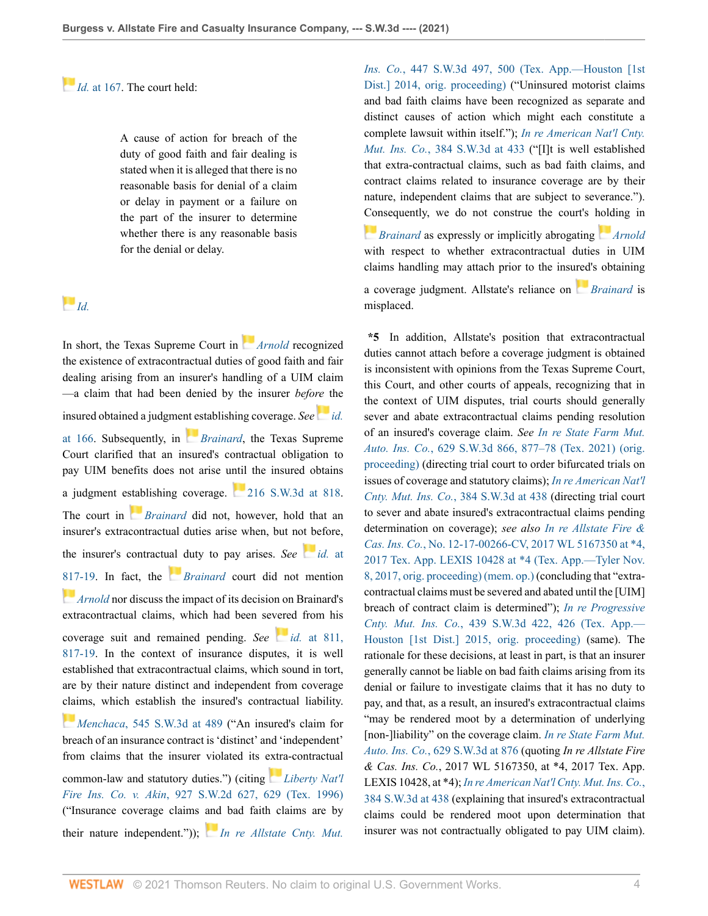*[I](https://1.next.westlaw.com/Link/RelatedInformation/Flag?documentGuid=Ie968bb57e7a711d99439b076ef9ec4de&transitionType=InlineKeyCiteFlags&originationContext=docHeaderFlag&Rank=0&ppcid=789ba5403d2043929cb5701c49df8e38&contextData=(sc.Default) )d.* [at 167.](http://www.westlaw.com/Link/Document/FullText?findType=Y&serNum=1987011572&pubNum=0000713&originatingDoc=I3e80f1504d4611eca49eee526a477d8b&refType=RP&fi=co_pp_sp_713_167&originationContext=document&vr=3.0&rs=cblt1.0&transitionType=DocumentItem&contextData=(sc.Default)#co_pp_sp_713_167) The court held:

A cause of action for breach of the duty of good faith and fair dealing is stated when it is alleged that there is no reasonable basis for denial of a claim or delay in payment or a failure on the part of the insurer to determine whether there is any reasonable basis for the denial or delay.

# *[Id.](http://www.westlaw.com/Link/Document/FullText?findType=Y&serNum=1987011572&pubNum=0000713&originatingDoc=I3e80f1504d4611eca49eee526a477d8b&refType=RP&originationContext=document&vr=3.0&rs=cblt1.0&transitionType=DocumentItem&contextData=(sc.Default))*

In short, the Texas Supreme Court in *[Arnold](http://www.westlaw.com/Link/Document/FullText?findType=Y&serNum=1987011572&pubNum=0000713&originatingDoc=I3e80f1504d4611eca49eee526a477d8b&refType=RP&originationContext=document&vr=3.0&rs=cblt1.0&transitionType=DocumentItem&contextData=(sc.Default))* recognized the existence of extracontractual duties of good faith and fair dealing arising from an insurer's handling of a UIM claim —a claim that had been denied by the insurer *befo[re](https://1.next.westlaw.com/Link/RelatedInformation/Flag?documentGuid=Ie968bb57e7a711d99439b076ef9ec4de&transitionType=InlineKeyCiteFlags&originationContext=docHeaderFlag&Rank=0&ppcid=789ba5403d2043929cb5701c49df8e38&contextData=(sc.Default) )* the insured obtained a judgme[nt es](https://1.next.westlaw.com/Link/RelatedInformation/Flag?documentGuid=I8a32595491c211db9127cf4cfcf88547&transitionType=InlineKeyCiteFlags&originationContext=docHeaderFlag&Rank=0&ppcid=789ba5403d2043929cb5701c49df8e38&contextData=(sc.Default) )tablishing coverage. *See [id.](http://www.westlaw.com/Link/Document/FullText?findType=Y&serNum=1987011572&pubNum=0000713&originatingDoc=I3e80f1504d4611eca49eee526a477d8b&refType=RP&fi=co_pp_sp_713_166&originationContext=document&vr=3.0&rs=cblt1.0&transitionType=DocumentItem&contextData=(sc.Default)#co_pp_sp_713_166)* [at 166.](http://www.westlaw.com/Link/Document/FullText?findType=Y&serNum=1987011572&pubNum=0000713&originatingDoc=I3e80f1504d4611eca49eee526a477d8b&refType=RP&fi=co_pp_sp_713_166&originationContext=document&vr=3.0&rs=cblt1.0&transitionType=DocumentItem&contextData=(sc.Default)#co_pp_sp_713_166) Subsequently, in *[Brainard](http://www.westlaw.com/Link/Document/FullText?findType=Y&serNum=2010959384&pubNum=0004644&originatingDoc=I3e80f1504d4611eca49eee526a477d8b&refType=RP&originationContext=document&vr=3.0&rs=cblt1.0&transitionType=DocumentItem&contextData=(sc.Default))*, the Texas Supreme Court clarified that an insured's contractual obligation to pay UIM benefits does not arise until the insured obtains a judgment e[stab](https://1.next.westlaw.com/Link/RelatedInformation/Flag?documentGuid=I8a32595491c211db9127cf4cfcf88547&transitionType=InlineKeyCiteFlags&originationContext=docHeaderFlag&Rank=0&ppcid=789ba5403d2043929cb5701c49df8e38&contextData=(sc.Default) )lishing coverage. [216 S.W.3d at 818](http://www.westlaw.com/Link/Document/FullText?findType=Y&serNum=2010959384&pubNum=0004644&originatingDoc=I3e80f1504d4611eca49eee526a477d8b&refType=RP&fi=co_pp_sp_4644_818&originationContext=document&vr=3.0&rs=cblt1.0&transitionType=DocumentItem&contextData=(sc.Default)#co_pp_sp_4644_818). The court in *[Brainard](http://www.westlaw.com/Link/Document/FullText?findType=Y&serNum=2010959384&pubNum=0004644&originatingDoc=I3e80f1504d4611eca49eee526a477d8b&refType=RP&originationContext=document&vr=3.0&rs=cblt1.0&transitionType=DocumentItem&contextData=(sc.Default))* did not, however, hold that an insurer's extracontractual duties arise when, but n[ot be](https://1.next.westlaw.com/Link/RelatedInformation/Flag?documentGuid=I8a32595491c211db9127cf4cfcf88547&transitionType=InlineKeyCiteFlags&originationContext=docHeaderFlag&Rank=0&ppcid=789ba5403d2043929cb5701c49df8e38&contextData=(sc.Default) )fore, the insurer's contract[ual d](https://1.next.westlaw.com/Link/RelatedInformation/Flag?documentGuid=I8a32595491c211db9127cf4cfcf88547&transitionType=InlineKeyCiteFlags&originationContext=docHeaderFlag&Rank=0&ppcid=789ba5403d2043929cb5701c49df8e38&contextData=(sc.Default) )uty to pay arises. *See id.* [at](http://www.westlaw.com/Link/Document/FullText?findType=Y&serNum=2010959384&pubNum=0004644&originatingDoc=I3e80f1504d4611eca49eee526a477d8b&refType=RP&fi=co_pp_sp_4644_817&originationContext=document&vr=3.0&rs=cblt1.0&transitionType=DocumentItem&contextData=(sc.Default)#co_pp_sp_4644_817) [817-19](http://www.westlaw.com/Link/Document/FullText?findType=Y&serNum=2010959384&pubNum=0004644&originatingDoc=I3e80f1504d4611eca49eee526a477d8b&refType=RP&fi=co_pp_sp_4644_817&originationContext=document&vr=3.0&rs=cblt1.0&transitionType=DocumentItem&contextData=(sc.Default)#co_pp_sp_4644_817). In fact, the *[Brainard](http://www.westlaw.com/Link/Document/FullText?findType=Y&serNum=2010959384&pubNum=0004644&originatingDoc=I3e80f1504d4611eca49eee526a477d8b&refType=RP&originationContext=document&vr=3.0&rs=cblt1.0&transitionType=DocumentItem&contextData=(sc.Default))* court did not mention *[Arnold](http://www.westlaw.com/Link/Document/FullText?findType=Y&serNum=1987011572&pubNum=0000713&originatingDoc=I3e80f1504d4611eca49eee526a477d8b&refType=RP&originationContext=document&vr=3.0&rs=cblt1.0&transitionType=DocumentItem&contextData=(sc.Default))* nor discuss the impact of its decision on Brainard's extracontractual claims, which had been se[vere](https://1.next.westlaw.com/Link/RelatedInformation/Flag?documentGuid=I8a32595491c211db9127cf4cfcf88547&transitionType=InlineKeyCiteFlags&originationContext=docHeaderFlag&Rank=0&ppcid=789ba5403d2043929cb5701c49df8e38&contextData=(sc.Default) )d from his coverage suit and remained pending. *See id.* [at 811,](http://www.westlaw.com/Link/Document/FullText?findType=Y&serNum=2010959384&pubNum=0004644&originatingDoc=I3e80f1504d4611eca49eee526a477d8b&refType=RP&fi=co_pp_sp_4644_811&originationContext=document&vr=3.0&rs=cblt1.0&transitionType=DocumentItem&contextData=(sc.Default)#co_pp_sp_4644_811) [817-19](http://www.westlaw.com/Link/Document/FullText?findType=Y&serNum=2010959384&pubNum=0004644&originatingDoc=I3e80f1504d4611eca49eee526a477d8b&refType=RP&fi=co_pp_sp_4644_811&originationContext=document&vr=3.0&rs=cblt1.0&transitionType=DocumentItem&contextData=(sc.Default)#co_pp_sp_4644_811). In the context of insurance disputes, it is well established that extracontractual claims, which sound in tort, are by their nature distinct and independent from coverage [clai](https://1.next.westlaw.com/Link/RelatedInformation/Flag?documentGuid=Ic370bdd03f4111e89d97ba661a8e31a6&transitionType=InlineKeyCiteFlags&originationContext=docHeaderFlag&Rank=0&ppcid=789ba5403d2043929cb5701c49df8e38&contextData=(sc.Default) )ms, which establish the insured's contractual liability. *Menchaca*[, 545 S.W.3d at 489](http://www.westlaw.com/Link/Document/FullText?findType=Y&serNum=2044350114&pubNum=0004644&originatingDoc=I3e80f1504d4611eca49eee526a477d8b&refType=RP&fi=co_pp_sp_4644_489&originationContext=document&vr=3.0&rs=cblt1.0&transitionType=DocumentItem&contextData=(sc.Default)#co_pp_sp_4644_489) ("An insured's claim for breach of an insurance contract is 'distinct' and 'independent' from claims that the insurer violated its [extra](https://1.next.westlaw.com/Link/RelatedInformation/Flag?documentGuid=I4489fa4de7cf11d9bf60c1d57ebc853e&transitionType=InlineKeyCiteFlags&originationContext=docHeaderFlag&Rank=0&ppcid=789ba5403d2043929cb5701c49df8e38&contextData=(sc.Default) )-contractual common-law and statutory duties.") (citing *[Liberty Nat'l](http://www.westlaw.com/Link/Document/FullText?findType=Y&serNum=1996154146&pubNum=0000713&originatingDoc=I3e80f1504d4611eca49eee526a477d8b&refType=RP&fi=co_pp_sp_713_629&originationContext=document&vr=3.0&rs=cblt1.0&transitionType=DocumentItem&contextData=(sc.Default)#co_pp_sp_713_629) Fire Ins. Co. v. Akin*[, 927 S.W.2d 627, 629 \(Tex. 1996\)](http://www.westlaw.com/Link/Document/FullText?findType=Y&serNum=1996154146&pubNum=0000713&originatingDoc=I3e80f1504d4611eca49eee526a477d8b&refType=RP&fi=co_pp_sp_713_629&originationContext=document&vr=3.0&rs=cblt1.0&transitionType=DocumentItem&contextData=(sc.Default)#co_pp_sp_713_629) ("Insurance coverage claims [and](https://1.next.westlaw.com/Link/RelatedInformation/Flag?documentGuid=I1e8fda36560011e4a795ac035416da91&transitionType=InlineKeyCiteFlags&originationContext=docHeaderFlag&Rank=0&ppcid=789ba5403d2043929cb5701c49df8e38&contextData=(sc.Default) ) bad faith claims are by their nature independent.")); *[In re Allstate Cnty. Mut.](http://www.westlaw.com/Link/Document/FullText?findType=Y&serNum=2034624851&pubNum=0004644&originatingDoc=I3e80f1504d4611eca49eee526a477d8b&refType=RP&fi=co_pp_sp_4644_500&originationContext=document&vr=3.0&rs=cblt1.0&transitionType=DocumentItem&contextData=(sc.Default)#co_pp_sp_4644_500)* *Ins. Co.*[, 447 S.W.3d 497, 500 \(Tex. App.—Houston \[1st](http://www.westlaw.com/Link/Document/FullText?findType=Y&serNum=2034624851&pubNum=0004644&originatingDoc=I3e80f1504d4611eca49eee526a477d8b&refType=RP&fi=co_pp_sp_4644_500&originationContext=document&vr=3.0&rs=cblt1.0&transitionType=DocumentItem&contextData=(sc.Default)#co_pp_sp_4644_500) [Dist.\] 2014, orig. proceeding\)](http://www.westlaw.com/Link/Document/FullText?findType=Y&serNum=2034624851&pubNum=0004644&originatingDoc=I3e80f1504d4611eca49eee526a477d8b&refType=RP&fi=co_pp_sp_4644_500&originationContext=document&vr=3.0&rs=cblt1.0&transitionType=DocumentItem&contextData=(sc.Default)#co_pp_sp_4644_500) ("Uninsured motorist claims and bad faith claims have been recognized as separate and distinct causes of action which might each constitute a complete lawsuit within itself."); *[In re American Nat'l Cnty.](http://www.westlaw.com/Link/Document/FullText?findType=Y&serNum=2028739853&pubNum=0004644&originatingDoc=I3e80f1504d4611eca49eee526a477d8b&refType=RP&fi=co_pp_sp_4644_433&originationContext=document&vr=3.0&rs=cblt1.0&transitionType=DocumentItem&contextData=(sc.Default)#co_pp_sp_4644_433) Mut. Ins. Co.*[, 384 S.W.3d at 433](http://www.westlaw.com/Link/Document/FullText?findType=Y&serNum=2028739853&pubNum=0004644&originatingDoc=I3e80f1504d4611eca49eee526a477d8b&refType=RP&fi=co_pp_sp_4644_433&originationContext=document&vr=3.0&rs=cblt1.0&transitionType=DocumentItem&contextData=(sc.Default)#co_pp_sp_4644_433) ("[I]t is well established that extra-contractual claims, such as bad faith claims, and contract claims related to insurance coverage are by their nature, independent claims that are subject to severance."). [Con](https://1.next.westlaw.com/Link/RelatedInformation/Flag?documentGuid=I8a32595491c211db9127cf4cfcf88547&transitionType=InlineKeyCiteFlags&originationContext=docHeaderFlag&Rank=0&ppcid=789ba5403d2043929cb5701c49df8e38&contextData=(sc.Default) )sequently, we do not construe the court's [hold](https://1.next.westlaw.com/Link/RelatedInformation/Flag?documentGuid=Ie968bb57e7a711d99439b076ef9ec4de&transitionType=InlineKeyCiteFlags&originationContext=docHeaderFlag&Rank=0&ppcid=789ba5403d2043929cb5701c49df8e38&contextData=(sc.Default) )ing in

*[Brainard](http://www.westlaw.com/Link/Document/FullText?findType=Y&serNum=2010959384&pubNum=0004644&originatingDoc=I3e80f1504d4611eca49eee526a477d8b&refType=RP&originationContext=document&vr=3.0&rs=cblt1.0&transitionType=DocumentItem&contextData=(sc.Default))* as expressly or implicitly abrogating *[Arnold](http://www.westlaw.com/Link/Document/FullText?findType=Y&serNum=1987011572&pubNum=0000713&originatingDoc=I3e80f1504d4611eca49eee526a477d8b&refType=RP&originationContext=document&vr=3.0&rs=cblt1.0&transitionType=DocumentItem&contextData=(sc.Default))* with respect to whether extracontractual duties in UIM claims handling may attach prior to the ins[ured](https://1.next.westlaw.com/Link/RelatedInformation/Flag?documentGuid=I8a32595491c211db9127cf4cfcf88547&transitionType=InlineKeyCiteFlags&originationContext=docHeaderFlag&Rank=0&ppcid=789ba5403d2043929cb5701c49df8e38&contextData=(sc.Default) )'s obtaining

a coverage judgment. Allstate's reliance on *[Brainard](http://www.westlaw.com/Link/Document/FullText?findType=Y&serNum=2010959384&pubNum=0004644&originatingDoc=I3e80f1504d4611eca49eee526a477d8b&refType=RP&originationContext=document&vr=3.0&rs=cblt1.0&transitionType=DocumentItem&contextData=(sc.Default))* is misplaced.

**\*5** In addition, Allstate's position that extracontractual duties cannot attach before a coverage judgment is obtained is inconsistent with opinions from the Texas Supreme Court, this Court, and other courts of appeals, recognizing that in the context of UIM disputes, trial courts should generally sever and abate extracontractual claims pending resolution of an insured's coverage claim. *See [In re State Farm Mut.](http://www.westlaw.com/Link/Document/FullText?findType=Y&serNum=2053279391&pubNum=0004644&originatingDoc=I3e80f1504d4611eca49eee526a477d8b&refType=RP&fi=co_pp_sp_4644_877&originationContext=document&vr=3.0&rs=cblt1.0&transitionType=DocumentItem&contextData=(sc.Default)#co_pp_sp_4644_877) Auto. Ins. Co.*[, 629 S.W.3d 866, 877–78 \(Tex. 2021\) \(orig.](http://www.westlaw.com/Link/Document/FullText?findType=Y&serNum=2053279391&pubNum=0004644&originatingDoc=I3e80f1504d4611eca49eee526a477d8b&refType=RP&fi=co_pp_sp_4644_877&originationContext=document&vr=3.0&rs=cblt1.0&transitionType=DocumentItem&contextData=(sc.Default)#co_pp_sp_4644_877) [proceeding\)](http://www.westlaw.com/Link/Document/FullText?findType=Y&serNum=2053279391&pubNum=0004644&originatingDoc=I3e80f1504d4611eca49eee526a477d8b&refType=RP&fi=co_pp_sp_4644_877&originationContext=document&vr=3.0&rs=cblt1.0&transitionType=DocumentItem&contextData=(sc.Default)#co_pp_sp_4644_877) (directing trial court to order bifurcated trials on issues of coverage and statutory claims); *[In re American Nat'l](http://www.westlaw.com/Link/Document/FullText?findType=Y&serNum=2028739853&pubNum=0004644&originatingDoc=I3e80f1504d4611eca49eee526a477d8b&refType=RP&fi=co_pp_sp_4644_438&originationContext=document&vr=3.0&rs=cblt1.0&transitionType=DocumentItem&contextData=(sc.Default)#co_pp_sp_4644_438) Cnty. Mut. Ins. Co.*[, 384 S.W.3d at 438](http://www.westlaw.com/Link/Document/FullText?findType=Y&serNum=2028739853&pubNum=0004644&originatingDoc=I3e80f1504d4611eca49eee526a477d8b&refType=RP&fi=co_pp_sp_4644_438&originationContext=document&vr=3.0&rs=cblt1.0&transitionType=DocumentItem&contextData=(sc.Default)#co_pp_sp_4644_438) (directing trial court to sever and abate insured's extracontractual claims pending determination on coverage); *see also [In re Allstate Fire &](http://www.westlaw.com/Link/Document/FullText?findType=Y&serNum=2043128325&pubNum=0000999&originatingDoc=I3e80f1504d4611eca49eee526a477d8b&refType=RP&originationContext=document&vr=3.0&rs=cblt1.0&transitionType=DocumentItem&contextData=(sc.Default)) Cas. Ins. Co.*[, No. 12-17-00266-CV, 2017 WL 5167350 at \\*4,](http://www.westlaw.com/Link/Document/FullText?findType=Y&serNum=2043128325&pubNum=0000999&originatingDoc=I3e80f1504d4611eca49eee526a477d8b&refType=RP&originationContext=document&vr=3.0&rs=cblt1.0&transitionType=DocumentItem&contextData=(sc.Default)) [2017 Tex. App. LEXIS 10428 at \\*4 \(Tex. App.—Tyler Nov.](http://www.westlaw.com/Link/Document/FullText?findType=Y&serNum=2043128325&pubNum=0000999&originatingDoc=I3e80f1504d4611eca49eee526a477d8b&refType=RP&originationContext=document&vr=3.0&rs=cblt1.0&transitionType=DocumentItem&contextData=(sc.Default)) [8, 2017, orig. proceeding\) \(mem. op.\)](http://www.westlaw.com/Link/Document/FullText?findType=Y&serNum=2043128325&pubNum=0000999&originatingDoc=I3e80f1504d4611eca49eee526a477d8b&refType=RP&originationContext=document&vr=3.0&rs=cblt1.0&transitionType=DocumentItem&contextData=(sc.Default)) (concluding that "extracontractual claims must be severed and abated until the [UIM] breach of contract claim is determined"); *[In re Progressive](http://www.westlaw.com/Link/Document/FullText?findType=Y&serNum=2033577738&pubNum=0004644&originatingDoc=I3e80f1504d4611eca49eee526a477d8b&refType=RP&fi=co_pp_sp_4644_426&originationContext=document&vr=3.0&rs=cblt1.0&transitionType=DocumentItem&contextData=(sc.Default)#co_pp_sp_4644_426) Cnty. Mut. Ins. Co.*[, 439 S.W.3d 422, 426 \(Tex. App.—](http://www.westlaw.com/Link/Document/FullText?findType=Y&serNum=2033577738&pubNum=0004644&originatingDoc=I3e80f1504d4611eca49eee526a477d8b&refType=RP&fi=co_pp_sp_4644_426&originationContext=document&vr=3.0&rs=cblt1.0&transitionType=DocumentItem&contextData=(sc.Default)#co_pp_sp_4644_426) [Houston \[1st Dist.\] 2015, orig. proceeding\)](http://www.westlaw.com/Link/Document/FullText?findType=Y&serNum=2033577738&pubNum=0004644&originatingDoc=I3e80f1504d4611eca49eee526a477d8b&refType=RP&fi=co_pp_sp_4644_426&originationContext=document&vr=3.0&rs=cblt1.0&transitionType=DocumentItem&contextData=(sc.Default)#co_pp_sp_4644_426) (same). The rationale for these decisions, at least in part, is that an insurer generally cannot be liable on bad faith claims arising from its denial or failure to investigate claims that it has no duty to pay, and that, as a result, an insured's extracontractual claims "may be rendered moot by a determination of underlying [non-]liability" on the coverage claim. *[In re State Farm Mut.](http://www.westlaw.com/Link/Document/FullText?findType=Y&serNum=2053279391&pubNum=0004644&originatingDoc=I3e80f1504d4611eca49eee526a477d8b&refType=RP&fi=co_pp_sp_4644_876&originationContext=document&vr=3.0&rs=cblt1.0&transitionType=DocumentItem&contextData=(sc.Default)#co_pp_sp_4644_876) Auto. Ins. Co.*[, 629 S.W.3d at 876](http://www.westlaw.com/Link/Document/FullText?findType=Y&serNum=2053279391&pubNum=0004644&originatingDoc=I3e80f1504d4611eca49eee526a477d8b&refType=RP&fi=co_pp_sp_4644_876&originationContext=document&vr=3.0&rs=cblt1.0&transitionType=DocumentItem&contextData=(sc.Default)#co_pp_sp_4644_876) (quoting *In re Allstate Fire & Cas. Ins. Co.*, 2017 WL 5167350, at \*4, 2017 Tex. App. LEXIS 10428, at \*4); *[In re American Nat'l Cnty. Mut. Ins. Co.](http://www.westlaw.com/Link/Document/FullText?findType=Y&serNum=2028739853&pubNum=0004644&originatingDoc=I3e80f1504d4611eca49eee526a477d8b&refType=RP&fi=co_pp_sp_4644_438&originationContext=document&vr=3.0&rs=cblt1.0&transitionType=DocumentItem&contextData=(sc.Default)#co_pp_sp_4644_438)*, [384 S.W.3d at 438](http://www.westlaw.com/Link/Document/FullText?findType=Y&serNum=2028739853&pubNum=0004644&originatingDoc=I3e80f1504d4611eca49eee526a477d8b&refType=RP&fi=co_pp_sp_4644_438&originationContext=document&vr=3.0&rs=cblt1.0&transitionType=DocumentItem&contextData=(sc.Default)#co_pp_sp_4644_438) (explaining that insured's extracontractual claims could be rendered moot upon determination that insurer was not contractually obligated to pay UIM claim).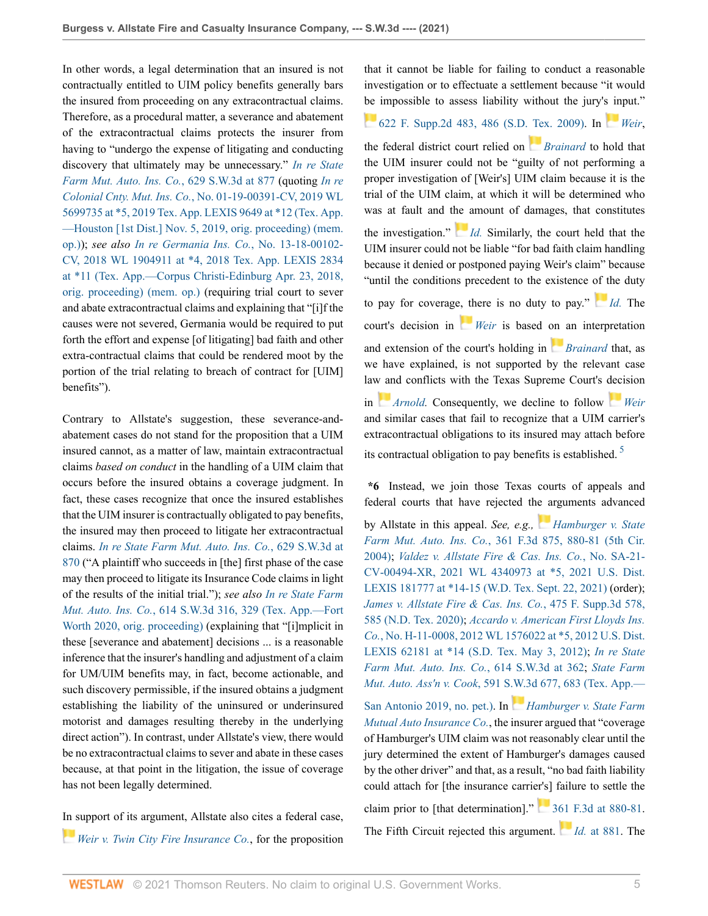In other words, a legal determination that an insured is not contractually entitled to UIM policy benefits generally bars the insured from proceeding on any extracontractual claims. Therefore, as a procedural matter, a severance and abatement of the extracontractual claims protects the insurer from having to "undergo the expense of litigating and conducting discovery that ultimately may be unnecessary." *[In re State](http://www.westlaw.com/Link/Document/FullText?findType=Y&serNum=2053279391&pubNum=0004644&originatingDoc=I3e80f1504d4611eca49eee526a477d8b&refType=RP&fi=co_pp_sp_4644_877&originationContext=document&vr=3.0&rs=cblt1.0&transitionType=DocumentItem&contextData=(sc.Default)#co_pp_sp_4644_877) [Farm Mut. Auto. Ins. Co.](http://www.westlaw.com/Link/Document/FullText?findType=Y&serNum=2053279391&pubNum=0004644&originatingDoc=I3e80f1504d4611eca49eee526a477d8b&refType=RP&fi=co_pp_sp_4644_877&originationContext=document&vr=3.0&rs=cblt1.0&transitionType=DocumentItem&contextData=(sc.Default)#co_pp_sp_4644_877)*, 629 S.W.3d at 877 (quoting *[In re](http://www.westlaw.com/Link/Document/FullText?findType=Y&serNum=2049548353&pubNum=0000999&originatingDoc=I3e80f1504d4611eca49eee526a477d8b&refType=RP&originationContext=document&vr=3.0&rs=cblt1.0&transitionType=DocumentItem&contextData=(sc.Default)) Colonial Cnty. Mut. Ins. Co.*[, No. 01-19-00391-CV, 2019 WL](http://www.westlaw.com/Link/Document/FullText?findType=Y&serNum=2049548353&pubNum=0000999&originatingDoc=I3e80f1504d4611eca49eee526a477d8b&refType=RP&originationContext=document&vr=3.0&rs=cblt1.0&transitionType=DocumentItem&contextData=(sc.Default)) [5699735 at \\*5, 2019 Tex. App. LEXIS 9649 at \\*12 \(Tex. App.](http://www.westlaw.com/Link/Document/FullText?findType=Y&serNum=2049548353&pubNum=0000999&originatingDoc=I3e80f1504d4611eca49eee526a477d8b&refType=RP&originationContext=document&vr=3.0&rs=cblt1.0&transitionType=DocumentItem&contextData=(sc.Default)) [—Houston \[1st Dist.\] Nov. 5, 2019, orig. proceeding\) \(mem.](http://www.westlaw.com/Link/Document/FullText?findType=Y&serNum=2049548353&pubNum=0000999&originatingDoc=I3e80f1504d4611eca49eee526a477d8b&refType=RP&originationContext=document&vr=3.0&rs=cblt1.0&transitionType=DocumentItem&contextData=(sc.Default)) [op.\)\)](http://www.westlaw.com/Link/Document/FullText?findType=Y&serNum=2049548353&pubNum=0000999&originatingDoc=I3e80f1504d4611eca49eee526a477d8b&refType=RP&originationContext=document&vr=3.0&rs=cblt1.0&transitionType=DocumentItem&contextData=(sc.Default)); *see also In re Germania Ins. Co.*[, No. 13-18-00102-](http://www.westlaw.com/Link/Document/FullText?findType=Y&serNum=2044383290&pubNum=0000999&originatingDoc=I3e80f1504d4611eca49eee526a477d8b&refType=RP&originationContext=document&vr=3.0&rs=cblt1.0&transitionType=DocumentItem&contextData=(sc.Default)) [CV, 2018 WL 1904911 at \\*4, 2018 Tex. App. LEXIS 2834](http://www.westlaw.com/Link/Document/FullText?findType=Y&serNum=2044383290&pubNum=0000999&originatingDoc=I3e80f1504d4611eca49eee526a477d8b&refType=RP&originationContext=document&vr=3.0&rs=cblt1.0&transitionType=DocumentItem&contextData=(sc.Default)) [at \\*11 \(Tex. App.—Corpus Christi-Edinburg Apr. 23, 2018,](http://www.westlaw.com/Link/Document/FullText?findType=Y&serNum=2044383290&pubNum=0000999&originatingDoc=I3e80f1504d4611eca49eee526a477d8b&refType=RP&originationContext=document&vr=3.0&rs=cblt1.0&transitionType=DocumentItem&contextData=(sc.Default)) [orig. proceeding\) \(mem. op.\)](http://www.westlaw.com/Link/Document/FullText?findType=Y&serNum=2044383290&pubNum=0000999&originatingDoc=I3e80f1504d4611eca49eee526a477d8b&refType=RP&originationContext=document&vr=3.0&rs=cblt1.0&transitionType=DocumentItem&contextData=(sc.Default)) (requiring trial court to sever and abate extracontractual claims and explaining that "[i]f the causes were not severed, Germania would be required to put forth the effort and expense [of litigating] bad faith and other extra-contractual claims that could be rendered moot by the portion of the trial relating to breach of contract for [UIM] benefits").

Contrary to Allstate's suggestion, these severance-andabatement cases do not stand for the proposition that a UIM insured cannot, as a matter of law, maintain extracontractual claims *based on conduct* in the handling of a UIM claim that occurs before the insured obtains a coverage judgment. In fact, these cases recognize that once the insured establishes that the UIM insurer is contractually obligated to pay benefits, the insured may then proceed to litigate her extracontractual claims. *[In re State Farm Mut. Auto. Ins. Co.](http://www.westlaw.com/Link/Document/FullText?findType=Y&serNum=2053279391&pubNum=0004644&originatingDoc=I3e80f1504d4611eca49eee526a477d8b&refType=RP&fi=co_pp_sp_4644_870&originationContext=document&vr=3.0&rs=cblt1.0&transitionType=DocumentItem&contextData=(sc.Default)#co_pp_sp_4644_870)*, 629 S.W.3d at [870](http://www.westlaw.com/Link/Document/FullText?findType=Y&serNum=2053279391&pubNum=0004644&originatingDoc=I3e80f1504d4611eca49eee526a477d8b&refType=RP&fi=co_pp_sp_4644_870&originationContext=document&vr=3.0&rs=cblt1.0&transitionType=DocumentItem&contextData=(sc.Default)#co_pp_sp_4644_870) ("A plaintiff who succeeds in [the] first phase of the case may then proceed to litigate its Insurance Code claims in light of the results of the initial trial."); *see also In re [State Farm](http://www.westlaw.com/Link/Document/FullText?findType=Y&serNum=2052397756&pubNum=0004644&originatingDoc=I3e80f1504d4611eca49eee526a477d8b&refType=RP&fi=co_pp_sp_4644_329&originationContext=document&vr=3.0&rs=cblt1.0&transitionType=DocumentItem&contextData=(sc.Default)#co_pp_sp_4644_329) Mut. Auto. Ins. Co.*[, 614 S.W.3d 316, 329 \(Tex. App.—Fort](http://www.westlaw.com/Link/Document/FullText?findType=Y&serNum=2052397756&pubNum=0004644&originatingDoc=I3e80f1504d4611eca49eee526a477d8b&refType=RP&fi=co_pp_sp_4644_329&originationContext=document&vr=3.0&rs=cblt1.0&transitionType=DocumentItem&contextData=(sc.Default)#co_pp_sp_4644_329) [Worth 2020, orig. proceeding\)](http://www.westlaw.com/Link/Document/FullText?findType=Y&serNum=2052397756&pubNum=0004644&originatingDoc=I3e80f1504d4611eca49eee526a477d8b&refType=RP&fi=co_pp_sp_4644_329&originationContext=document&vr=3.0&rs=cblt1.0&transitionType=DocumentItem&contextData=(sc.Default)#co_pp_sp_4644_329) (explaining that "[i]mplicit in these [severance and abatement] decisions ... is a reasonable inference that the insurer's handling and adjustment of a claim for UM/UIM benefits may, in fact, become actionable, and such discovery permissible, if the insured obtains a judgment establishing the liability of the uninsured or underinsured motorist and damages resulting thereby in the underlying direct action"). In contrast, under Allstate's view, there would be no extracontractual claims to sever and abate in these cases because, at that point in the litigation, the issue of coverage has not been legally determined.

[In s](https://1.next.westlaw.com/Link/RelatedInformation/Flag?documentGuid=Ieee5252425b011de9988d233d23fe599&transitionType=InlineKeyCiteFlags&originationContext=docHeaderFlag&Rank=0&ppcid=789ba5403d2043929cb5701c49df8e38&contextData=(sc.Default) )upport of its argument, Allstate also cites a federal case, *[Weir v. Twin City Fire Insurance Co.](http://www.westlaw.com/Link/Document/FullText?findType=Y&serNum=2018579448&pubNum=0004637&originatingDoc=I3e80f1504d4611eca49eee526a477d8b&refType=RP&originationContext=document&vr=3.0&rs=cblt1.0&transitionType=DocumentItem&contextData=(sc.Default))*, for the proposition that it cannot be liable for failing to conduct a reasonable investigation or to effectuate a settlement because "it would [be](https://1.next.westlaw.com/Link/RelatedInformation/Flag?documentGuid=Ieee5252425b011de9988d233d23fe599&transitionType=InlineKeyCiteFlags&originationContext=docHeaderFlag&Rank=0&ppcid=789ba5403d2043929cb5701c49df8e38&contextData=(sc.Default) ) impossible to assess liability without the jury'[s in](https://1.next.westlaw.com/Link/RelatedInformation/Flag?documentGuid=Ieee5252425b011de9988d233d23fe599&transitionType=InlineKeyCiteFlags&originationContext=docHeaderFlag&Rank=0&ppcid=789ba5403d2043929cb5701c49df8e38&contextData=(sc.Default) )put."

# [622 F. Supp.2d 483, 486 \(S.D. Tex. 2009\)](http://www.westlaw.com/Link/Document/FullText?findType=Y&serNum=2018579448&pubNum=0004637&originatingDoc=I3e80f1504d4611eca49eee526a477d8b&refType=RP&fi=co_pp_sp_4637_486&originationContext=document&vr=3.0&rs=cblt1.0&transitionType=DocumentItem&contextData=(sc.Default)#co_pp_sp_4637_486). In *[Weir](http://www.westlaw.com/Link/Document/FullText?findType=Y&serNum=2018579448&pubNum=0004637&originatingDoc=I3e80f1504d4611eca49eee526a477d8b&refType=RP&originationContext=document&vr=3.0&rs=cblt1.0&transitionType=DocumentItem&contextData=(sc.Default))*,

the federal district court relied on *[Brainard](http://www.westlaw.com/Link/Document/FullText?findType=Y&serNum=2010959384&pubNum=0004644&originatingDoc=I3e80f1504d4611eca49eee526a477d8b&refType=RP&originationContext=document&vr=3.0&rs=cblt1.0&transitionType=DocumentItem&contextData=(sc.Default))* to hold that the UIM insurer could not be "guilty of not performing a proper investigation of [Weir's] UIM claim because it is the trial of the UIM claim, at which it will be determined who was at fault and t[he a](https://1.next.westlaw.com/Link/RelatedInformation/Flag?documentGuid=Ieee5252425b011de9988d233d23fe599&transitionType=InlineKeyCiteFlags&originationContext=docHeaderFlag&Rank=0&ppcid=789ba5403d2043929cb5701c49df8e38&contextData=(sc.Default) )mount of damages, that constitutes the investigation." *[Id.](http://www.westlaw.com/Link/Document/FullText?findType=Y&serNum=2018579448&pubNum=0004637&originatingDoc=I3e80f1504d4611eca49eee526a477d8b&refType=RP&originationContext=document&vr=3.0&rs=cblt1.0&transitionType=DocumentItem&contextData=(sc.Default))* Similarly, the court held that the UIM insurer could not be liable "for bad faith claim handling because it denied or postponed paying Weir's claim" because "until the conditions precedent to the existence [of t](https://1.next.westlaw.com/Link/RelatedInformation/Flag?documentGuid=Ieee5252425b011de9988d233d23fe599&transitionType=InlineKeyCiteFlags&originationContext=docHeaderFlag&Rank=0&ppcid=789ba5403d2043929cb5701c49df8e38&contextData=(sc.Default) )he duty to pay for coverag[e, th](https://1.next.westlaw.com/Link/RelatedInformation/Flag?documentGuid=Ieee5252425b011de9988d233d23fe599&transitionType=InlineKeyCiteFlags&originationContext=docHeaderFlag&Rank=0&ppcid=789ba5403d2043929cb5701c49df8e38&contextData=(sc.Default) )ere is no duty to pay." *[Id.](http://www.westlaw.com/Link/Document/FullText?findType=Y&serNum=2018579448&pubNum=0004637&originatingDoc=I3e80f1504d4611eca49eee526a477d8b&refType=RP&originationContext=document&vr=3.0&rs=cblt1.0&transitionType=DocumentItem&contextData=(sc.Default))* The court's decision in *[Weir](http://www.westlaw.com/Link/Document/FullText?findType=Y&serNum=2018579448&pubNum=0004637&originatingDoc=I3e80f1504d4611eca49eee526a477d8b&refType=RP&originationContext=document&vr=3.0&rs=cblt1.0&transitionType=DocumentItem&contextData=(sc.Default))* is based [on](https://1.next.westlaw.com/Link/RelatedInformation/Flag?documentGuid=I8a32595491c211db9127cf4cfcf88547&transitionType=InlineKeyCiteFlags&originationContext=docHeaderFlag&Rank=0&ppcid=789ba5403d2043929cb5701c49df8e38&contextData=(sc.Default) ) an interpretation and extension of the court's holding in *[Brainard](http://www.westlaw.com/Link/Document/FullText?findType=Y&serNum=2010959384&pubNum=0004644&originatingDoc=I3e80f1504d4611eca49eee526a477d8b&refType=RP&originationContext=document&vr=3.0&rs=cblt1.0&transitionType=DocumentItem&contextData=(sc.Default))* that, as we have explained, is not supported by the relevant case la[w an](https://1.next.westlaw.com/Link/RelatedInformation/Flag?documentGuid=Ie968bb57e7a711d99439b076ef9ec4de&transitionType=InlineKeyCiteFlags&originationContext=docHeaderFlag&Rank=0&ppcid=789ba5403d2043929cb5701c49df8e38&contextData=(sc.Default) )d conflicts with the Texas Supreme Court's [deci](https://1.next.westlaw.com/Link/RelatedInformation/Flag?documentGuid=Ieee5252425b011de9988d233d23fe599&transitionType=InlineKeyCiteFlags&originationContext=docHeaderFlag&Rank=0&ppcid=789ba5403d2043929cb5701c49df8e38&contextData=(sc.Default) )sion in *[Arnold.](http://www.westlaw.com/Link/Document/FullText?findType=Y&serNum=1987011572&pubNum=0000713&originatingDoc=I3e80f1504d4611eca49eee526a477d8b&refType=RP&originationContext=document&vr=3.0&rs=cblt1.0&transitionType=DocumentItem&contextData=(sc.Default))* Consequently, we decline to follow *[Weir](http://www.westlaw.com/Link/Document/FullText?findType=Y&serNum=2018579448&pubNum=0004637&originatingDoc=I3e80f1504d4611eca49eee526a477d8b&refType=RP&originationContext=document&vr=3.0&rs=cblt1.0&transitionType=DocumentItem&contextData=(sc.Default))* and similar cases that fail to recognize that a UIM carrier's extracontractual obligations to its insured may attach before

<span id="page-4-0"></span>its contractual obligation to pay benefits is established. [5](#page-8-1)

**\*6** Instead, we join those Texas courts of appeals and federal courts that have rejected th[e a](https://1.next.westlaw.com/Link/RelatedInformation/Flag?documentGuid=I6aea953989fd11d9ac45f46c5ea084a3&transitionType=InlineKeyCiteFlags&originationContext=docHeaderFlag&Rank=0&ppcid=789ba5403d2043929cb5701c49df8e38&contextData=(sc.Default) )rguments advanced by Allstate in this appeal. *See, e.g., [Hamburger v. State](http://www.westlaw.com/Link/Document/FullText?findType=Y&serNum=2004176540&pubNum=0000506&originatingDoc=I3e80f1504d4611eca49eee526a477d8b&refType=RP&fi=co_pp_sp_506_880&originationContext=document&vr=3.0&rs=cblt1.0&transitionType=DocumentItem&contextData=(sc.Default)#co_pp_sp_506_880) Farm Mut. Auto. Ins. Co.*[, 361 F.3d 875, 880-81 \(5th Cir.](http://www.westlaw.com/Link/Document/FullText?findType=Y&serNum=2004176540&pubNum=0000506&originatingDoc=I3e80f1504d4611eca49eee526a477d8b&refType=RP&fi=co_pp_sp_506_880&originationContext=document&vr=3.0&rs=cblt1.0&transitionType=DocumentItem&contextData=(sc.Default)#co_pp_sp_506_880) [2004\)](http://www.westlaw.com/Link/Document/FullText?findType=Y&serNum=2004176540&pubNum=0000506&originatingDoc=I3e80f1504d4611eca49eee526a477d8b&refType=RP&fi=co_pp_sp_506_880&originationContext=document&vr=3.0&rs=cblt1.0&transitionType=DocumentItem&contextData=(sc.Default)#co_pp_sp_506_880); *[Valdez v. Allstate Fire & Cas. Ins. Co.](http://www.westlaw.com/Link/Document/FullText?findType=Y&serNum=2054564047&pubNum=0000999&originatingDoc=I3e80f1504d4611eca49eee526a477d8b&refType=RP&fi=co_pp_sp_999_5&originationContext=document&vr=3.0&rs=cblt1.0&transitionType=DocumentItem&contextData=(sc.Default)#co_pp_sp_999_5)*, No. SA-21- [CV-00494-XR, 2021 WL 4340973 at \\*5, 2021 U.S. Dist.](http://www.westlaw.com/Link/Document/FullText?findType=Y&serNum=2054564047&pubNum=0000999&originatingDoc=I3e80f1504d4611eca49eee526a477d8b&refType=RP&fi=co_pp_sp_999_5&originationContext=document&vr=3.0&rs=cblt1.0&transitionType=DocumentItem&contextData=(sc.Default)#co_pp_sp_999_5) [LEXIS 181777 at \\*14-15 \(W.D. Tex. Sept. 22, 2021\)](http://www.westlaw.com/Link/Document/FullText?findType=Y&serNum=2054564047&pubNum=0000999&originatingDoc=I3e80f1504d4611eca49eee526a477d8b&refType=RP&fi=co_pp_sp_999_5&originationContext=document&vr=3.0&rs=cblt1.0&transitionType=DocumentItem&contextData=(sc.Default)#co_pp_sp_999_5) (order); *[James v. Allstate Fire & Cas. Ins. Co.](http://www.westlaw.com/Link/Document/FullText?findType=Y&serNum=2051539783&pubNum=0007903&originatingDoc=I3e80f1504d4611eca49eee526a477d8b&refType=RP&fi=co_pp_sp_7903_585&originationContext=document&vr=3.0&rs=cblt1.0&transitionType=DocumentItem&contextData=(sc.Default)#co_pp_sp_7903_585)*, 475 F. Supp.3d 578, [585 \(N.D. Tex. 2020\);](http://www.westlaw.com/Link/Document/FullText?findType=Y&serNum=2051539783&pubNum=0007903&originatingDoc=I3e80f1504d4611eca49eee526a477d8b&refType=RP&fi=co_pp_sp_7903_585&originationContext=document&vr=3.0&rs=cblt1.0&transitionType=DocumentItem&contextData=(sc.Default)#co_pp_sp_7903_585) *[Accardo v. American First Lloyds Ins.](http://www.westlaw.com/Link/Document/FullText?findType=Y&serNum=2027638834&pubNum=0000999&originatingDoc=I3e80f1504d4611eca49eee526a477d8b&refType=RP&fi=co_pp_sp_999_5&originationContext=document&vr=3.0&rs=cblt1.0&transitionType=DocumentItem&contextData=(sc.Default)#co_pp_sp_999_5) Co.*[, No. H-11-0008, 2012 WL 1576022 at \\*5, 2012 U.S. Dist.](http://www.westlaw.com/Link/Document/FullText?findType=Y&serNum=2027638834&pubNum=0000999&originatingDoc=I3e80f1504d4611eca49eee526a477d8b&refType=RP&fi=co_pp_sp_999_5&originationContext=document&vr=3.0&rs=cblt1.0&transitionType=DocumentItem&contextData=(sc.Default)#co_pp_sp_999_5) [LEXIS 62181 at \\*14 \(S.D. Tex. May 3, 2012\);](http://www.westlaw.com/Link/Document/FullText?findType=Y&serNum=2027638834&pubNum=0000999&originatingDoc=I3e80f1504d4611eca49eee526a477d8b&refType=RP&fi=co_pp_sp_999_5&originationContext=document&vr=3.0&rs=cblt1.0&transitionType=DocumentItem&contextData=(sc.Default)#co_pp_sp_999_5) *[In re](http://www.westlaw.com/Link/Document/FullText?findType=Y&serNum=2052397756&pubNum=0004644&originatingDoc=I3e80f1504d4611eca49eee526a477d8b&refType=RP&fi=co_pp_sp_4644_362&originationContext=document&vr=3.0&rs=cblt1.0&transitionType=DocumentItem&contextData=(sc.Default)#co_pp_sp_4644_362) State [Farm Mut. Auto. Ins. Co.](http://www.westlaw.com/Link/Document/FullText?findType=Y&serNum=2052397756&pubNum=0004644&originatingDoc=I3e80f1504d4611eca49eee526a477d8b&refType=RP&fi=co_pp_sp_4644_362&originationContext=document&vr=3.0&rs=cblt1.0&transitionType=DocumentItem&contextData=(sc.Default)#co_pp_sp_4644_362)*, 614 S.W.3d at 362; *[State Farm](http://www.westlaw.com/Link/Document/FullText?findType=Y&serNum=2049207222&pubNum=0004644&originatingDoc=I3e80f1504d4611eca49eee526a477d8b&refType=RP&fi=co_pp_sp_4644_683&originationContext=document&vr=3.0&rs=cblt1.0&transitionType=DocumentItem&contextData=(sc.Default)#co_pp_sp_4644_683) Mut. Auto. Ass'n v. Cook*[, 591 S.W.3d 677, 683 \(Tex. App.—](http://www.westlaw.com/Link/Document/FullText?findType=Y&serNum=2049207222&pubNum=0004644&originatingDoc=I3e80f1504d4611eca49eee526a477d8b&refType=RP&fi=co_pp_sp_4644_683&originationContext=document&vr=3.0&rs=cblt1.0&transitionType=DocumentItem&contextData=(sc.Default)#co_pp_sp_4644_683)

[San Antonio 2019, no. pet.\)](http://www.westlaw.com/Link/Document/FullText?findType=Y&serNum=2049207222&pubNum=0004644&originatingDoc=I3e80f1504d4611eca49eee526a477d8b&refType=RP&fi=co_pp_sp_4644_683&originationContext=document&vr=3.0&rs=cblt1.0&transitionType=DocumentItem&contextData=(sc.Default)#co_pp_sp_4644_683). In *[Hamburger v. State Farm](http://www.westlaw.com/Link/Document/FullText?findType=Y&serNum=2004176540&pubNum=0000506&originatingDoc=I3e80f1504d4611eca49eee526a477d8b&refType=RP&originationContext=document&vr=3.0&rs=cblt1.0&transitionType=DocumentItem&contextData=(sc.Default)) [Mutual Auto Insurance Co.](http://www.westlaw.com/Link/Document/FullText?findType=Y&serNum=2004176540&pubNum=0000506&originatingDoc=I3e80f1504d4611eca49eee526a477d8b&refType=RP&originationContext=document&vr=3.0&rs=cblt1.0&transitionType=DocumentItem&contextData=(sc.Default))*, the insurer argued that "coverage of Hamburger's UIM claim was not reasonably clear until the jury determined the extent of Hamburger's damages caused by the other driver" and that, as a result, "no bad faith liability could attach for [the insurance carrier's] failure to settle the claim prior to [that determination]."  $\frac{361 \text{ F} \cdot 3 \text{ d}}{361 \text{ F} \cdot 3 \text{ d}}$  at 880-81. The Fifth Circuit rejected this argument. *Id.* [at 881.](http://www.westlaw.com/Link/Document/FullText?findType=Y&serNum=2004176540&pubNum=0000506&originatingDoc=I3e80f1504d4611eca49eee526a477d8b&refType=RP&fi=co_pp_sp_506_881&originationContext=document&vr=3.0&rs=cblt1.0&transitionType=DocumentItem&contextData=(sc.Default)#co_pp_sp_506_881) The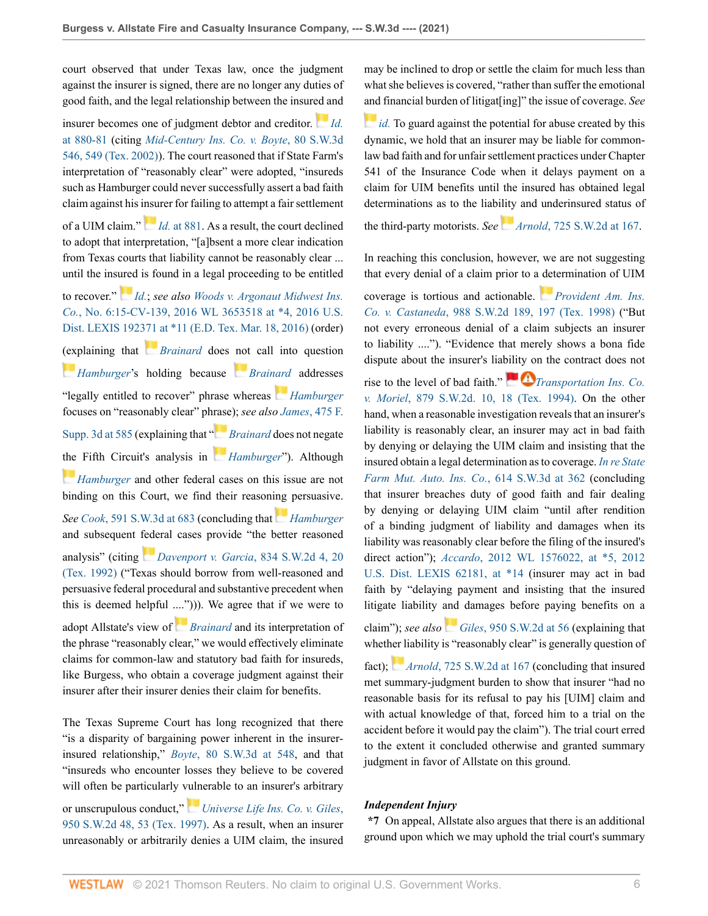court observed that under Texas law, once the judgment against the insurer is signed, there are no longer any duties of good faith, and the legal relationship between the insur[ed a](https://1.next.westlaw.com/Link/RelatedInformation/Flag?documentGuid=I6aea953989fd11d9ac45f46c5ea084a3&transitionType=InlineKeyCiteFlags&originationContext=docHeaderFlag&Rank=0&ppcid=789ba5403d2043929cb5701c49df8e38&contextData=(sc.Default) )nd

insurer becomes one of judgment debtor and creditor. *[Id.](http://www.westlaw.com/Link/Document/FullText?findType=Y&serNum=2004176540&pubNum=0000506&originatingDoc=I3e80f1504d4611eca49eee526a477d8b&refType=RP&fi=co_pp_sp_506_880&originationContext=document&vr=3.0&rs=cblt1.0&transitionType=DocumentItem&contextData=(sc.Default)#co_pp_sp_506_880)* [at 880-81](http://www.westlaw.com/Link/Document/FullText?findType=Y&serNum=2004176540&pubNum=0000506&originatingDoc=I3e80f1504d4611eca49eee526a477d8b&refType=RP&fi=co_pp_sp_506_880&originationContext=document&vr=3.0&rs=cblt1.0&transitionType=DocumentItem&contextData=(sc.Default)#co_pp_sp_506_880) (citing *[Mid-Century Ins. Co. v. Boyte](http://www.westlaw.com/Link/Document/FullText?findType=Y&serNum=2002323501&pubNum=0004644&originatingDoc=I3e80f1504d4611eca49eee526a477d8b&refType=RP&fi=co_pp_sp_4644_549&originationContext=document&vr=3.0&rs=cblt1.0&transitionType=DocumentItem&contextData=(sc.Default)#co_pp_sp_4644_549)*, 80 S.W.3d [546, 549 \(Tex. 2002\)\)](http://www.westlaw.com/Link/Document/FullText?findType=Y&serNum=2002323501&pubNum=0004644&originatingDoc=I3e80f1504d4611eca49eee526a477d8b&refType=RP&fi=co_pp_sp_4644_549&originationContext=document&vr=3.0&rs=cblt1.0&transitionType=DocumentItem&contextData=(sc.Default)#co_pp_sp_4644_549). The court reasoned that if State Farm's interpretation of "reasonably clear" were adopted, "insureds such as Hamburger could never successfully assert a bad faith claim against his [insu](https://1.next.westlaw.com/Link/RelatedInformation/Flag?documentGuid=I6aea953989fd11d9ac45f46c5ea084a3&transitionType=InlineKeyCiteFlags&originationContext=docHeaderFlag&Rank=0&ppcid=789ba5403d2043929cb5701c49df8e38&contextData=(sc.Default) )rer for failing to attempt a fair settlement

of a UIM claim." *Id.* [at 881](http://www.westlaw.com/Link/Document/FullText?findType=Y&serNum=2004176540&pubNum=0000506&originatingDoc=I3e80f1504d4611eca49eee526a477d8b&refType=RP&fi=co_pp_sp_506_881&originationContext=document&vr=3.0&rs=cblt1.0&transitionType=DocumentItem&contextData=(sc.Default)#co_pp_sp_506_881). As a result, the court declined to adopt that interpretation, "[a]bsent a more clear indication from Texas courts that liability cannot be reasonably clear ... until the ins[ured](https://1.next.westlaw.com/Link/RelatedInformation/Flag?documentGuid=I6aea953989fd11d9ac45f46c5ea084a3&transitionType=InlineKeyCiteFlags&originationContext=docHeaderFlag&Rank=0&ppcid=789ba5403d2043929cb5701c49df8e38&contextData=(sc.Default) ) is found in a legal proceeding to be entitled

to recover." *[Id.](http://www.westlaw.com/Link/Document/FullText?findType=Y&serNum=2004176540&pubNum=0000506&originatingDoc=I3e80f1504d4611eca49eee526a477d8b&refType=RP&originationContext=document&vr=3.0&rs=cblt1.0&transitionType=DocumentItem&contextData=(sc.Default))*; *see also [Woods v. Argonaut Midwest Ins.](http://www.westlaw.com/Link/Document/FullText?findType=Y&serNum=2039339813&pubNum=0000999&originatingDoc=I3e80f1504d4611eca49eee526a477d8b&refType=RP&fi=co_pp_sp_999_4&originationContext=document&vr=3.0&rs=cblt1.0&transitionType=DocumentItem&contextData=(sc.Default)#co_pp_sp_999_4) Co.*[, No. 6:15-CV-139, 2016 WL 3653518 at \\*4, 2016 U.S.](http://www.westlaw.com/Link/Document/FullText?findType=Y&serNum=2039339813&pubNum=0000999&originatingDoc=I3e80f1504d4611eca49eee526a477d8b&refType=RP&fi=co_pp_sp_999_4&originationContext=document&vr=3.0&rs=cblt1.0&transitionType=DocumentItem&contextData=(sc.Default)#co_pp_sp_999_4) [Dist. LEXIS 192371 at \\*11 \(E.D. Tex. Mar. 18, 2016\)](http://www.westlaw.com/Link/Document/FullText?findType=Y&serNum=2039339813&pubNum=0000999&originatingDoc=I3e80f1504d4611eca49eee526a477d8b&refType=RP&fi=co_pp_sp_999_4&originationContext=document&vr=3.0&rs=cblt1.0&transitionType=DocumentItem&contextData=(sc.Default)#co_pp_sp_999_4) (order) [\(exp](https://1.next.westlaw.com/Link/RelatedInformation/Flag?documentGuid=I6aea953989fd11d9ac45f46c5ea084a3&transitionType=InlineKeyCiteFlags&originationContext=docHeaderFlag&Rank=0&ppcid=789ba5403d2043929cb5701c49df8e38&contextData=(sc.Default) )laining that *[Brainard](http://www.westlaw.com/Link/Document/FullText?findType=Y&serNum=2010959384&pubNum=0004644&originatingDoc=I3e80f1504d4611eca49eee526a477d8b&refType=RP&originationContext=document&vr=3.0&rs=cblt1.0&transitionType=DocumentItem&contextData=(sc.Default))* does [not](https://1.next.westlaw.com/Link/RelatedInformation/Flag?documentGuid=I8a32595491c211db9127cf4cfcf88547&transitionType=InlineKeyCiteFlags&originationContext=docHeaderFlag&Rank=0&ppcid=789ba5403d2043929cb5701c49df8e38&contextData=(sc.Default) ) call into question *[Hamburger](http://www.westlaw.com/Link/Document/FullText?findType=Y&serNum=2004176540&pubNum=0000506&originatingDoc=I3e80f1504d4611eca49eee526a477d8b&refType=RP&originationContext=document&vr=3.0&rs=cblt1.0&transitionType=DocumentItem&contextData=(sc.Default))*'s holding because *[Brainard](http://www.westlaw.com/Link/Document/FullText?findType=Y&serNum=2010959384&pubNum=0004644&originatingDoc=I3e80f1504d4611eca49eee526a477d8b&refType=RP&originationContext=document&vr=3.0&rs=cblt1.0&transitionType=DocumentItem&contextData=(sc.Default))* addresses "legally entitled to recover" phrase whereas *[Hamburger](http://www.westlaw.com/Link/Document/FullText?findType=Y&serNum=2004176540&pubNum=0000506&originatingDoc=I3e80f1504d4611eca49eee526a477d8b&refType=RP&originationContext=document&vr=3.0&rs=cblt1.0&transitionType=DocumentItem&contextData=(sc.Default))* focuses on "reasonably clear" ph[rase](https://1.next.westlaw.com/Link/RelatedInformation/Flag?documentGuid=I8a32595491c211db9127cf4cfcf88547&transitionType=InlineKeyCiteFlags&originationContext=docHeaderFlag&Rank=0&ppcid=789ba5403d2043929cb5701c49df8e38&contextData=(sc.Default) )); *see also James*[, 475 F.](http://www.westlaw.com/Link/Document/FullText?findType=Y&serNum=2051539783&pubNum=0007903&originatingDoc=I3e80f1504d4611eca49eee526a477d8b&refType=RP&fi=co_pp_sp_7903_585&originationContext=document&vr=3.0&rs=cblt1.0&transitionType=DocumentItem&contextData=(sc.Default)#co_pp_sp_7903_585) [Supp. 3d at 585](http://www.westlaw.com/Link/Document/FullText?findType=Y&serNum=2051539783&pubNum=0007903&originatingDoc=I3e80f1504d4611eca49eee526a477d8b&refType=RP&fi=co_pp_sp_7903_585&originationContext=document&vr=3.0&rs=cblt1.0&transitionType=DocumentItem&contextData=(sc.Default)#co_pp_sp_7903_585) (explaining that " *[Brainard](http://www.westlaw.com/Link/Document/FullText?findType=Y&serNum=2010959384&pubNum=0004644&originatingDoc=I3e80f1504d4611eca49eee526a477d8b&refType=RP&originationContext=document&vr=3.0&rs=cblt1.0&transitionType=DocumentItem&contextData=(sc.Default))* does not negate [the](https://1.next.westlaw.com/Link/RelatedInformation/Flag?documentGuid=I6aea953989fd11d9ac45f46c5ea084a3&transitionType=InlineKeyCiteFlags&originationContext=docHeaderFlag&Rank=0&ppcid=789ba5403d2043929cb5701c49df8e38&contextData=(sc.Default) ) Fifth Circuit's analysis in *[Hamburger](http://www.westlaw.com/Link/Document/FullText?findType=Y&serNum=2004176540&pubNum=0000506&originatingDoc=I3e80f1504d4611eca49eee526a477d8b&refType=RP&originationContext=document&vr=3.0&rs=cblt1.0&transitionType=DocumentItem&contextData=(sc.Default))*"). Although **[Hamburger](http://www.westlaw.com/Link/Document/FullText?findType=Y&serNum=2004176540&pubNum=0000506&originatingDoc=I3e80f1504d4611eca49eee526a477d8b&refType=RP&originationContext=document&vr=3.0&rs=cblt1.0&transitionType=DocumentItem&contextData=(sc.Default))** and other federal cases on this issue are not binding on this Court, we find their reason[ing](https://1.next.westlaw.com/Link/RelatedInformation/Flag?documentGuid=I6aea953989fd11d9ac45f46c5ea084a3&transitionType=InlineKeyCiteFlags&originationContext=docHeaderFlag&Rank=0&ppcid=789ba5403d2043929cb5701c49df8e38&contextData=(sc.Default) ) persuasive. *See Cook*[, 591 S.W.3d at 683](http://www.westlaw.com/Link/Document/FullText?findType=Y&serNum=2049207222&pubNum=0004644&originatingDoc=I3e80f1504d4611eca49eee526a477d8b&refType=RP&fi=co_pp_sp_4644_683&originationContext=document&vr=3.0&rs=cblt1.0&transitionType=DocumentItem&contextData=(sc.Default)#co_pp_sp_4644_683) (concluding that *[Hamburger](http://www.westlaw.com/Link/Document/FullText?findType=Y&serNum=2004176540&pubNum=0000506&originatingDoc=I3e80f1504d4611eca49eee526a477d8b&refType=RP&originationContext=document&vr=3.0&rs=cblt1.0&transitionType=DocumentItem&contextData=(sc.Default))* and subsequent [fede](https://1.next.westlaw.com/Link/RelatedInformation/Flag?documentGuid=I5d2baf45e7d311d9bf60c1d57ebc853e&transitionType=InlineKeyCiteFlags&originationContext=docHeaderFlag&Rank=0&ppcid=789ba5403d2043929cb5701c49df8e38&contextData=(sc.Default) )ral cases provide "the better reasoned analysis" (citing *[Davenport v. Garcia](http://www.westlaw.com/Link/Document/FullText?findType=Y&serNum=1992110734&pubNum=0000713&originatingDoc=I3e80f1504d4611eca49eee526a477d8b&refType=RP&fi=co_pp_sp_713_20&originationContext=document&vr=3.0&rs=cblt1.0&transitionType=DocumentItem&contextData=(sc.Default)#co_pp_sp_713_20)*, 834 S.W.2d 4, 20 [\(Tex. 1992\)](http://www.westlaw.com/Link/Document/FullText?findType=Y&serNum=1992110734&pubNum=0000713&originatingDoc=I3e80f1504d4611eca49eee526a477d8b&refType=RP&fi=co_pp_sp_713_20&originationContext=document&vr=3.0&rs=cblt1.0&transitionType=DocumentItem&contextData=(sc.Default)#co_pp_sp_713_20) ("Texas should borrow from well-reasoned and persuasive federal procedural and substantive precedent when this is deemed helpful [...."\)](https://1.next.westlaw.com/Link/RelatedInformation/Flag?documentGuid=I8a32595491c211db9127cf4cfcf88547&transitionType=InlineKeyCiteFlags&originationContext=docHeaderFlag&Rank=0&ppcid=789ba5403d2043929cb5701c49df8e38&contextData=(sc.Default) ))). We agree that if we were to adopt Allstate's view of *[Brainard](http://www.westlaw.com/Link/Document/FullText?findType=Y&serNum=2010959384&pubNum=0004644&originatingDoc=I3e80f1504d4611eca49eee526a477d8b&refType=RP&originationContext=document&vr=3.0&rs=cblt1.0&transitionType=DocumentItem&contextData=(sc.Default))* and its interpretation of the phrase "reasonably clear," we would effectively eliminate claims for common-law and statutory bad faith for insureds, like Burgess, who obtain a coverage judgment against their insurer after their insurer denies their claim for benefits.

The Texas Supreme Court has long recognized that there "is a disparity of bargaining power inherent in the insurerinsured relationship," *Boyte*[, 80 S.W.3d at 548,](http://www.westlaw.com/Link/Document/FullText?findType=Y&serNum=2002323501&pubNum=0004644&originatingDoc=I3e80f1504d4611eca49eee526a477d8b&refType=RP&fi=co_pp_sp_4644_548&originationContext=document&vr=3.0&rs=cblt1.0&transitionType=DocumentItem&contextData=(sc.Default)#co_pp_sp_4644_548) and that "insureds who encounter losses they believe to be covered will often be particularly [vuln](https://1.next.westlaw.com/Link/RelatedInformation/Flag?documentGuid=I6ef3aa67e7c011d983e7e9deff98dc6f&transitionType=InlineKeyCiteFlags&originationContext=docHeaderFlag&Rank=0&ppcid=789ba5403d2043929cb5701c49df8e38&contextData=(sc.Default) )erable to an insurer's arbitrary or unscrupulous conduct," *[Universe Life Ins. Co. v. Giles](http://www.westlaw.com/Link/Document/FullText?findType=Y&serNum=1997145151&pubNum=0000713&originatingDoc=I3e80f1504d4611eca49eee526a477d8b&refType=RP&fi=co_pp_sp_713_53&originationContext=document&vr=3.0&rs=cblt1.0&transitionType=DocumentItem&contextData=(sc.Default)#co_pp_sp_713_53)*, [950 S.W.2d 48, 53 \(Tex. 1997\).](http://www.westlaw.com/Link/Document/FullText?findType=Y&serNum=1997145151&pubNum=0000713&originatingDoc=I3e80f1504d4611eca49eee526a477d8b&refType=RP&fi=co_pp_sp_713_53&originationContext=document&vr=3.0&rs=cblt1.0&transitionType=DocumentItem&contextData=(sc.Default)#co_pp_sp_713_53) As a result, when an insurer

unreasonably or arbitrarily denies a UIM claim, the insured

may be inclined to drop or settle the claim for much less than what she believes is covered, "rather than suffer the emotional [and](https://1.next.westlaw.com/Link/RelatedInformation/Flag?documentGuid=I6ef3aa67e7c011d983e7e9deff98dc6f&transitionType=InlineKeyCiteFlags&originationContext=docHeaderFlag&Rank=0&ppcid=789ba5403d2043929cb5701c49df8e38&contextData=(sc.Default) ) financial burden of litigat[ing]" the issue of coverage. *See*

*[id.](http://www.westlaw.com/Link/Document/FullText?findType=Y&serNum=1997145151&pubNum=0000713&originatingDoc=I3e80f1504d4611eca49eee526a477d8b&refType=RP&originationContext=document&vr=3.0&rs=cblt1.0&transitionType=DocumentItem&contextData=(sc.Default))* To guard against the potential for abuse created by this dynamic, we hold that an insurer may be liable for commonlaw bad faith and for unfair settlement practices under Chapter 541 of the Insurance Code when it delays payment on a claim for UIM benefits until the insured has obtained legal determinations as to the liab[ility](https://1.next.westlaw.com/Link/RelatedInformation/Flag?documentGuid=Ie968bb57e7a711d99439b076ef9ec4de&transitionType=InlineKeyCiteFlags&originationContext=docHeaderFlag&Rank=0&ppcid=789ba5403d2043929cb5701c49df8e38&contextData=(sc.Default) ) and underinsured status of

the third-party motorists. *See Arnold*[, 725 S.W.2d at 167.](http://www.westlaw.com/Link/Document/FullText?findType=Y&serNum=1987011572&pubNum=0000713&originatingDoc=I3e80f1504d4611eca49eee526a477d8b&refType=RP&fi=co_pp_sp_713_167&originationContext=document&vr=3.0&rs=cblt1.0&transitionType=DocumentItem&contextData=(sc.Default)#co_pp_sp_713_167)

In reaching this conclusion, however, we are not suggesting that every denial of a claim prior to a [det](https://1.next.westlaw.com/Link/RelatedInformation/Flag?documentGuid=Ia54ee081e7bf11d9bf60c1d57ebc853e&transitionType=InlineKeyCiteFlags&originationContext=docHeaderFlag&Rank=0&ppcid=789ba5403d2043929cb5701c49df8e38&contextData=(sc.Default) )ermination of UIM

coverage is tortious and actionable. *[Provident Am. Ins.](http://www.westlaw.com/Link/Document/FullText?findType=Y&serNum=1999026752&pubNum=0000713&originatingDoc=I3e80f1504d4611eca49eee526a477d8b&refType=RP&fi=co_pp_sp_713_197&originationContext=document&vr=3.0&rs=cblt1.0&transitionType=DocumentItem&contextData=(sc.Default)#co_pp_sp_713_197) Co. v. Castaneda*[, 988 S.W.2d 189, 197 \(Tex. 1998\)](http://www.westlaw.com/Link/Document/FullText?findType=Y&serNum=1999026752&pubNum=0000713&originatingDoc=I3e80f1504d4611eca49eee526a477d8b&refType=RP&fi=co_pp_sp_713_197&originationContext=document&vr=3.0&rs=cblt1.0&transitionType=DocumentItem&contextData=(sc.Default)#co_pp_sp_713_197) ("But not every erroneous denial of a claim subjects an insurer to liability ...."). "Evidence that merely shows a bona fide dispute about the insurer's lia[bility o](https://1.next.westlaw.com/Link/RelatedInformation/Flag?documentGuid=I20b051a7e7c511d983e7e9deff98dc6f&transitionType=InlineKeyCiteFlags&originationContext=docHeaderFlag&Rank=0&ppcid=789ba5403d2043929cb5701c49df8e38&contextData=(sc.Default) )n the contract does not

rise to the level of bad faith." *[Transportation Ins. Co.](http://www.westlaw.com/Link/Document/FullText?findType=Y&serNum=1994125602&pubNum=0000713&originatingDoc=I3e80f1504d4611eca49eee526a477d8b&refType=RP&fi=co_pp_sp_713_18&originationContext=document&vr=3.0&rs=cblt1.0&transitionType=DocumentItem&contextData=(sc.Default)#co_pp_sp_713_18) v. Moriel*[, 879 S.W.2d. 10, 18 \(Tex. 1994\).](http://www.westlaw.com/Link/Document/FullText?findType=Y&serNum=1994125602&pubNum=0000713&originatingDoc=I3e80f1504d4611eca49eee526a477d8b&refType=RP&fi=co_pp_sp_713_18&originationContext=document&vr=3.0&rs=cblt1.0&transitionType=DocumentItem&contextData=(sc.Default)#co_pp_sp_713_18) On the other hand, when a reasonable investigation reveals that an insurer's liability is reasonably clear, an insurer may act in bad faith by denying or delaying the UIM claim and insisting that the insured obtain a legal determination as to coverage. *In re [State](http://www.westlaw.com/Link/Document/FullText?findType=Y&serNum=2052397756&pubNum=0004644&originatingDoc=I3e80f1504d4611eca49eee526a477d8b&refType=RP&fi=co_pp_sp_4644_362&originationContext=document&vr=3.0&rs=cblt1.0&transitionType=DocumentItem&contextData=(sc.Default)#co_pp_sp_4644_362) [Farm Mut. Auto. Ins. Co.](http://www.westlaw.com/Link/Document/FullText?findType=Y&serNum=2052397756&pubNum=0004644&originatingDoc=I3e80f1504d4611eca49eee526a477d8b&refType=RP&fi=co_pp_sp_4644_362&originationContext=document&vr=3.0&rs=cblt1.0&transitionType=DocumentItem&contextData=(sc.Default)#co_pp_sp_4644_362)*, 614 S.W.3d at 362 (concluding that insurer breaches duty of good faith and fair dealing by denying or delaying UIM claim "until after rendition of a binding judgment of liability and damages when its liability was reasonably clear before the filing of the insured's direct action"); *Accardo*[, 2012 WL 1576022, at \\*5, 2012](http://www.westlaw.com/Link/Document/FullText?findType=Y&serNum=2027638834&pubNum=0000999&originatingDoc=I3e80f1504d4611eca49eee526a477d8b&refType=RP&originationContext=document&vr=3.0&rs=cblt1.0&transitionType=DocumentItem&contextData=(sc.Default)) [U.S. Dist. LEXIS 62181, at \\*14](http://www.westlaw.com/Link/Document/FullText?findType=Y&serNum=2027638834&pubNum=0000999&originatingDoc=I3e80f1504d4611eca49eee526a477d8b&refType=RP&originationContext=document&vr=3.0&rs=cblt1.0&transitionType=DocumentItem&contextData=(sc.Default)) (insurer may act in bad faith by "delaying payment and insisting that the insured litigate liability [and](https://1.next.westlaw.com/Link/RelatedInformation/Flag?documentGuid=I6ef3aa67e7c011d983e7e9deff98dc6f&transitionType=InlineKeyCiteFlags&originationContext=docHeaderFlag&Rank=0&ppcid=789ba5403d2043929cb5701c49df8e38&contextData=(sc.Default) ) damages before paying benefits on a claim"); *see also Giles*[, 950 S.W.2d at 56](http://www.westlaw.com/Link/Document/FullText?findType=Y&serNum=1997145151&pubNum=0000713&originatingDoc=I3e80f1504d4611eca49eee526a477d8b&refType=RP&fi=co_pp_sp_713_56&originationContext=document&vr=3.0&rs=cblt1.0&transitionType=DocumentItem&contextData=(sc.Default)#co_pp_sp_713_56) (explaining that whet[her l](https://1.next.westlaw.com/Link/RelatedInformation/Flag?documentGuid=Ie968bb57e7a711d99439b076ef9ec4de&transitionType=InlineKeyCiteFlags&originationContext=docHeaderFlag&Rank=0&ppcid=789ba5403d2043929cb5701c49df8e38&contextData=(sc.Default) )iability is "reasonably clear" is generally question of fact); *Arnold*[, 725 S.W.2d at 167](http://www.westlaw.com/Link/Document/FullText?findType=Y&serNum=1987011572&pubNum=0000713&originatingDoc=I3e80f1504d4611eca49eee526a477d8b&refType=RP&fi=co_pp_sp_713_167&originationContext=document&vr=3.0&rs=cblt1.0&transitionType=DocumentItem&contextData=(sc.Default)#co_pp_sp_713_167) (concluding that insured met summary-judgment burden to show that insurer "had no reasonable basis for its refusal to pay his [UIM] claim and with actual knowledge of that, forced him to a trial on the accident before it would pay the claim"). The trial court erred to the extent it concluded otherwise and granted summary judgment in favor of Allstate on this ground.

## *Independent Injury*

**\*7** On appeal, Allstate also argues that there is an additional ground upon which we may uphold the trial court's summary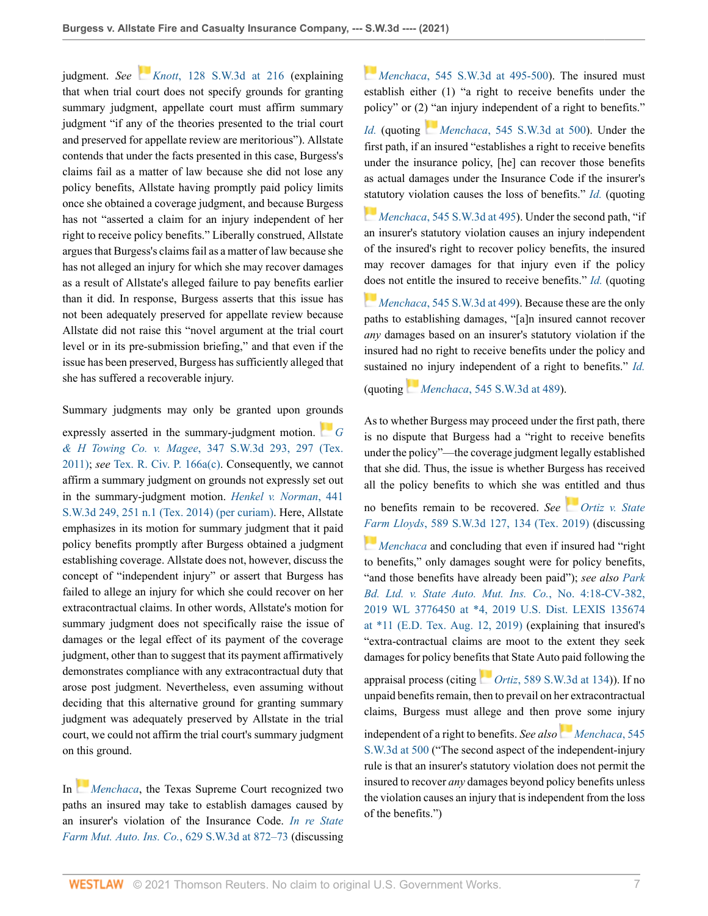judgment. *See Knott*[, 128 S.W.3d at 216](http://www.westlaw.com/Link/Document/FullText?findType=Y&serNum=2003939419&pubNum=0004644&originatingDoc=I3e80f1504d4611eca49eee526a477d8b&refType=RP&fi=co_pp_sp_4644_216&originationContext=document&vr=3.0&rs=cblt1.0&transitionType=DocumentItem&contextData=(sc.Default)#co_pp_sp_4644_216) (explaining that when trial court does not specify grounds for granting summary judgment, appellate court must affirm summary judgment "if any of the theories presented to the trial court and preserved for appellate review are meritorious"). Allstate contends that under the facts presented in this case, Burgess's claims fail as a matter of law because she did not lose any policy benefits, Allstate having promptly paid policy limits once she obtained a coverage judgment, and because Burgess has not "asserted a claim for an injury independent of her right to receive policy benefits." Liberally construed, Allstate argues that Burgess's claims fail as a matter of law because she has not alleged an injury for which she may recover damages as a result of Allstate's alleged failure to pay benefits earlier than it did. In response, Burgess asserts that this issue has not been adequately preserved for appellate review because Allstate did not raise this "novel argument at the trial court level or in its pre-submission briefing," and that even if the issue has been preserved, Burgess has sufficiently alleged that she has suffered a recoverable injury.

Summary judgments may only be granted upon gr[ound](https://1.next.westlaw.com/Link/RelatedInformation/Flag?documentGuid=If948d053d22011e0be8fdb5fa26a1033&transitionType=InlineKeyCiteFlags&originationContext=docHeaderFlag&Rank=0&ppcid=789ba5403d2043929cb5701c49df8e38&contextData=(sc.Default) )s

expressly asserted in the summary-judgment motion. *[G](http://www.westlaw.com/Link/Document/FullText?findType=Y&serNum=2025963681&pubNum=0004644&originatingDoc=I3e80f1504d4611eca49eee526a477d8b&refType=RP&fi=co_pp_sp_4644_297&originationContext=document&vr=3.0&rs=cblt1.0&transitionType=DocumentItem&contextData=(sc.Default)#co_pp_sp_4644_297) & H Towing Co. v. Magee*[, 347 S.W.3d 293, 297 \(Tex.](http://www.westlaw.com/Link/Document/FullText?findType=Y&serNum=2025963681&pubNum=0004644&originatingDoc=I3e80f1504d4611eca49eee526a477d8b&refType=RP&fi=co_pp_sp_4644_297&originationContext=document&vr=3.0&rs=cblt1.0&transitionType=DocumentItem&contextData=(sc.Default)#co_pp_sp_4644_297) [2011\);](http://www.westlaw.com/Link/Document/FullText?findType=Y&serNum=2025963681&pubNum=0004644&originatingDoc=I3e80f1504d4611eca49eee526a477d8b&refType=RP&fi=co_pp_sp_4644_297&originationContext=document&vr=3.0&rs=cblt1.0&transitionType=DocumentItem&contextData=(sc.Default)#co_pp_sp_4644_297) *see* [Tex. R. Civ. P. 166a\(c\).](http://www.westlaw.com/Link/Document/FullText?findType=L&pubNum=1003817&cite=TXRRCPR166A&originatingDoc=I3e80f1504d4611eca49eee526a477d8b&refType=LQ&originationContext=document&vr=3.0&rs=cblt1.0&transitionType=DocumentItem&contextData=(sc.Default)) Consequently, we cannot affirm a summary judgment on grounds not expressly set out in the summary-judgment motion. *[Henkel v. Norman](http://www.westlaw.com/Link/Document/FullText?findType=Y&serNum=2034181601&pubNum=0004644&originatingDoc=I3e80f1504d4611eca49eee526a477d8b&refType=RP&fi=co_pp_sp_4644_251&originationContext=document&vr=3.0&rs=cblt1.0&transitionType=DocumentItem&contextData=(sc.Default)#co_pp_sp_4644_251)*, 441 [S.W.3d 249, 251 n.1 \(Tex. 2014\) \(per curiam\).](http://www.westlaw.com/Link/Document/FullText?findType=Y&serNum=2034181601&pubNum=0004644&originatingDoc=I3e80f1504d4611eca49eee526a477d8b&refType=RP&fi=co_pp_sp_4644_251&originationContext=document&vr=3.0&rs=cblt1.0&transitionType=DocumentItem&contextData=(sc.Default)#co_pp_sp_4644_251) Here, Allstate emphasizes in its motion for summary judgment that it paid policy benefits promptly after Burgess obtained a judgment establishing coverage. Allstate does not, however, discuss the concept of "independent injury" or assert that Burgess has failed to allege an injury for which she could recover on her extracontractual claims. In other words, Allstate's motion for summary judgment does not specifically raise the issue of damages or the legal effect of its payment of the coverage judgment, other than to suggest that its payment affirmatively demonstrates compliance with any extracontractual duty that arose post judgment. Nevertheless, even assuming without deciding that this alternative ground for granting summary judgment was adequately preserved by Allstate in the trial court, we could not affirm the trial court's summary judgment on this ground.

In *[Menchaca](http://www.westlaw.com/Link/Document/FullText?findType=Y&serNum=2044350114&pubNum=0004644&originatingDoc=I3e80f1504d4611eca49eee526a477d8b&refType=RP&originationContext=document&vr=3.0&rs=cblt1.0&transitionType=DocumentItem&contextData=(sc.Default))*, the Texas Supreme Court recognized two paths an insured may take to establish damages caused by an insurer's violation of the Insurance Code. *[In re State](http://www.westlaw.com/Link/Document/FullText?findType=Y&serNum=2053279391&pubNum=0004644&originatingDoc=I3e80f1504d4611eca49eee526a477d8b&refType=RP&fi=co_pp_sp_4644_872&originationContext=document&vr=3.0&rs=cblt1.0&transitionType=DocumentItem&contextData=(sc.Default)#co_pp_sp_4644_872) [Farm Mut. Auto. Ins. Co.](http://www.westlaw.com/Link/Document/FullText?findType=Y&serNum=2053279391&pubNum=0004644&originatingDoc=I3e80f1504d4611eca49eee526a477d8b&refType=RP&fi=co_pp_sp_4644_872&originationContext=document&vr=3.0&rs=cblt1.0&transitionType=DocumentItem&contextData=(sc.Default)#co_pp_sp_4644_872)*, 629 S.W.3d at 872–73 (discussing

*[M](https://1.next.westlaw.com/Link/RelatedInformation/Flag?documentGuid=Ic370bdd03f4111e89d97ba661a8e31a6&transitionType=InlineKeyCiteFlags&originationContext=docHeaderFlag&Rank=0&ppcid=789ba5403d2043929cb5701c49df8e38&contextData=(sc.Default) )enchaca*[, 545 S.W.3d at 495-500](http://www.westlaw.com/Link/Document/FullText?findType=Y&serNum=2044350114&pubNum=0004644&originatingDoc=I3e80f1504d4611eca49eee526a477d8b&refType=RP&fi=co_pp_sp_4644_495&originationContext=document&vr=3.0&rs=cblt1.0&transitionType=DocumentItem&contextData=(sc.Default)#co_pp_sp_4644_495)). The insured must establish either (1) "a right to receive benefits under the policy" or (2[\) "a](https://1.next.westlaw.com/Link/RelatedInformation/Flag?documentGuid=Ic370bdd03f4111e89d97ba661a8e31a6&transitionType=InlineKeyCiteFlags&originationContext=docHeaderFlag&Rank=0&ppcid=789ba5403d2043929cb5701c49df8e38&contextData=(sc.Default) )n injury independent of a right to benefits."

*[Id.](http://www.westlaw.com/Link/Document/FullText?findType=Y&serNum=2053279391&pubNum=0004644&originatingDoc=I3e80f1504d4611eca49eee526a477d8b&refType=RP&originationContext=document&vr=3.0&rs=cblt1.0&transitionType=DocumentItem&contextData=(sc.Default))* (quoting *Menchaca*[, 545 S.W.3d at 500\)](http://www.westlaw.com/Link/Document/FullText?findType=Y&serNum=2044350114&pubNum=0004644&originatingDoc=I3e80f1504d4611eca49eee526a477d8b&refType=RP&fi=co_pp_sp_4644_500&originationContext=document&vr=3.0&rs=cblt1.0&transitionType=DocumentItem&contextData=(sc.Default)#co_pp_sp_4644_500). Under the first path, if an insured "establishes a right to receive benefits under the insurance policy, [he] can recover those benefits as actual damages under the Insurance Code if the insurer's [stat](https://1.next.westlaw.com/Link/RelatedInformation/Flag?documentGuid=Ic370bdd03f4111e89d97ba661a8e31a6&transitionType=InlineKeyCiteFlags&originationContext=docHeaderFlag&Rank=0&ppcid=789ba5403d2043929cb5701c49df8e38&contextData=(sc.Default) )utory violation causes the loss of benefits." *[Id.](http://www.westlaw.com/Link/Document/FullText?findType=Y&serNum=2053279391&pubNum=0004644&originatingDoc=I3e80f1504d4611eca49eee526a477d8b&refType=RP&originationContext=document&vr=3.0&rs=cblt1.0&transitionType=DocumentItem&contextData=(sc.Default))* (quoting

*Menchaca*[, 545 S.W.3d at 495\)](http://www.westlaw.com/Link/Document/FullText?findType=Y&serNum=2044350114&pubNum=0004644&originatingDoc=I3e80f1504d4611eca49eee526a477d8b&refType=RP&fi=co_pp_sp_4644_495&originationContext=document&vr=3.0&rs=cblt1.0&transitionType=DocumentItem&contextData=(sc.Default)#co_pp_sp_4644_495). Under the second path, "if an insurer's statutory violation causes an injury independent of the insured's right to recover policy benefits, the insured may recover damages for that injury even if the policy [doe](https://1.next.westlaw.com/Link/RelatedInformation/Flag?documentGuid=Ic370bdd03f4111e89d97ba661a8e31a6&transitionType=InlineKeyCiteFlags&originationContext=docHeaderFlag&Rank=0&ppcid=789ba5403d2043929cb5701c49df8e38&contextData=(sc.Default) )s not entitle the insured to receive benefits." *[Id.](http://www.westlaw.com/Link/Document/FullText?findType=Y&serNum=2053279391&pubNum=0004644&originatingDoc=I3e80f1504d4611eca49eee526a477d8b&refType=RP&originationContext=document&vr=3.0&rs=cblt1.0&transitionType=DocumentItem&contextData=(sc.Default))* (quoting

*Menchaca*[, 545 S.W.3d at 499](http://www.westlaw.com/Link/Document/FullText?findType=Y&serNum=2044350114&pubNum=0004644&originatingDoc=I3e80f1504d4611eca49eee526a477d8b&refType=RP&fi=co_pp_sp_4644_499&originationContext=document&vr=3.0&rs=cblt1.0&transitionType=DocumentItem&contextData=(sc.Default)#co_pp_sp_4644_499)). Because these are the only paths to establishing damages, "[a]n insured cannot recover *any* damages based on an insurer's statutory violation if the insured had no right to receive benefits under the policy and sustaine[d no](https://1.next.westlaw.com/Link/RelatedInformation/Flag?documentGuid=Ic370bdd03f4111e89d97ba661a8e31a6&transitionType=InlineKeyCiteFlags&originationContext=docHeaderFlag&Rank=0&ppcid=789ba5403d2043929cb5701c49df8e38&contextData=(sc.Default) ) injury independent of a right to benefits." *[Id.](http://www.westlaw.com/Link/Document/FullText?findType=Y&serNum=2053279391&pubNum=0004644&originatingDoc=I3e80f1504d4611eca49eee526a477d8b&refType=RP&originationContext=document&vr=3.0&rs=cblt1.0&transitionType=DocumentItem&contextData=(sc.Default))*

(quoting *Menchaca*[, 545 S.W.3d at 489\)](http://www.westlaw.com/Link/Document/FullText?findType=Y&serNum=2044350114&pubNum=0004644&originatingDoc=I3e80f1504d4611eca49eee526a477d8b&refType=RP&fi=co_pp_sp_4644_489&originationContext=document&vr=3.0&rs=cblt1.0&transitionType=DocumentItem&contextData=(sc.Default)#co_pp_sp_4644_489).

As to whether Burgess may proceed under the first path, there is no dispute that Burgess had a "right to receive benefits under the policy"—the coverage judgment legally established that she did. Thus, the issue is whether Burgess has received all the policy benefits to which she was [enti](https://1.next.westlaw.com/Link/RelatedInformation/Flag?documentGuid=Iaaf4953099ca11e98eaef725d418138a&transitionType=InlineKeyCiteFlags&originationContext=docHeaderFlag&Rank=0&ppcid=789ba5403d2043929cb5701c49df8e38&contextData=(sc.Default) )tled and thus

no benefits remain to be recovered. *See [Ortiz v. State](http://www.westlaw.com/Link/Document/FullText?findType=Y&serNum=2048595434&pubNum=0004644&originatingDoc=I3e80f1504d4611eca49eee526a477d8b&refType=RP&fi=co_pp_sp_4644_134&originationContext=document&vr=3.0&rs=cblt1.0&transitionType=DocumentItem&contextData=(sc.Default)#co_pp_sp_4644_134) [Far](https://1.next.westlaw.com/Link/RelatedInformation/Flag?documentGuid=Ic370bdd03f4111e89d97ba661a8e31a6&transitionType=InlineKeyCiteFlags&originationContext=docHeaderFlag&Rank=0&ppcid=789ba5403d2043929cb5701c49df8e38&contextData=(sc.Default) )m Lloyds*[, 589 S.W.3d 127, 134 \(Tex. 2019\)](http://www.westlaw.com/Link/Document/FullText?findType=Y&serNum=2048595434&pubNum=0004644&originatingDoc=I3e80f1504d4611eca49eee526a477d8b&refType=RP&fi=co_pp_sp_4644_134&originationContext=document&vr=3.0&rs=cblt1.0&transitionType=DocumentItem&contextData=(sc.Default)#co_pp_sp_4644_134) (discussing

*[Menchaca](http://www.westlaw.com/Link/Document/FullText?findType=Y&serNum=2044350114&pubNum=0004644&originatingDoc=I3e80f1504d4611eca49eee526a477d8b&refType=RP&originationContext=document&vr=3.0&rs=cblt1.0&transitionType=DocumentItem&contextData=(sc.Default))* and concluding that even if insured had "right" to benefits," only damages sought were for policy benefits, "and those benefits have already been paid"); *see also [Park](http://www.westlaw.com/Link/Document/FullText?findType=Y&serNum=2048881528&pubNum=0000999&originatingDoc=I3e80f1504d4611eca49eee526a477d8b&refType=RP&fi=co_pp_sp_999_4&originationContext=document&vr=3.0&rs=cblt1.0&transitionType=DocumentItem&contextData=(sc.Default)#co_pp_sp_999_4) [Bd. Ltd. v. State Auto. Mut. Ins. Co.](http://www.westlaw.com/Link/Document/FullText?findType=Y&serNum=2048881528&pubNum=0000999&originatingDoc=I3e80f1504d4611eca49eee526a477d8b&refType=RP&fi=co_pp_sp_999_4&originationContext=document&vr=3.0&rs=cblt1.0&transitionType=DocumentItem&contextData=(sc.Default)#co_pp_sp_999_4)*, No. 4:18-CV-382, [2019 WL 3776450 at \\*4, 2019 U.S. Dist. LEXIS 135674](http://www.westlaw.com/Link/Document/FullText?findType=Y&serNum=2048881528&pubNum=0000999&originatingDoc=I3e80f1504d4611eca49eee526a477d8b&refType=RP&fi=co_pp_sp_999_4&originationContext=document&vr=3.0&rs=cblt1.0&transitionType=DocumentItem&contextData=(sc.Default)#co_pp_sp_999_4) [at \\*11 \(E.D. Tex. Aug. 12, 2019\)](http://www.westlaw.com/Link/Document/FullText?findType=Y&serNum=2048881528&pubNum=0000999&originatingDoc=I3e80f1504d4611eca49eee526a477d8b&refType=RP&fi=co_pp_sp_999_4&originationContext=document&vr=3.0&rs=cblt1.0&transitionType=DocumentItem&contextData=(sc.Default)#co_pp_sp_999_4) (explaining that insured's "extra-contractual claims are moot to the extent they seek damages for policy benef[its t](https://1.next.westlaw.com/Link/RelatedInformation/Flag?documentGuid=Iaaf4953099ca11e98eaef725d418138a&transitionType=InlineKeyCiteFlags&originationContext=docHeaderFlag&Rank=0&ppcid=789ba5403d2043929cb5701c49df8e38&contextData=(sc.Default) )hat State Auto paid following the

appraisal process (citing *Ortiz*[, 589 S.W.3d at 134](http://www.westlaw.com/Link/Document/FullText?findType=Y&serNum=2048595434&pubNum=0004644&originatingDoc=I3e80f1504d4611eca49eee526a477d8b&refType=RP&fi=co_pp_sp_4644_134&originationContext=document&vr=3.0&rs=cblt1.0&transitionType=DocumentItem&contextData=(sc.Default)#co_pp_sp_4644_134))). If no unpaid benefits remain, then to prevail on her extracontractual claims, Burgess must allege and then [prov](https://1.next.westlaw.com/Link/RelatedInformation/Flag?documentGuid=Ic370bdd03f4111e89d97ba661a8e31a6&transitionType=InlineKeyCiteFlags&originationContext=docHeaderFlag&Rank=0&ppcid=789ba5403d2043929cb5701c49df8e38&contextData=(sc.Default) )e some injury independent of a right to benefits. *See also [Menchaca](http://www.westlaw.com/Link/Document/FullText?findType=Y&serNum=2044350114&pubNum=0004644&originatingDoc=I3e80f1504d4611eca49eee526a477d8b&refType=RP&fi=co_pp_sp_4644_500&originationContext=document&vr=3.0&rs=cblt1.0&transitionType=DocumentItem&contextData=(sc.Default)#co_pp_sp_4644_500)*, 545 [S.W.3d at 500](http://www.westlaw.com/Link/Document/FullText?findType=Y&serNum=2044350114&pubNum=0004644&originatingDoc=I3e80f1504d4611eca49eee526a477d8b&refType=RP&fi=co_pp_sp_4644_500&originationContext=document&vr=3.0&rs=cblt1.0&transitionType=DocumentItem&contextData=(sc.Default)#co_pp_sp_4644_500) ("The second aspect of the independent-injury

rule is that an insurer's statutory violation does not permit the insured to recover *any* damages beyond policy benefits unless the violation causes an injury that is independent from the loss of the benefits.")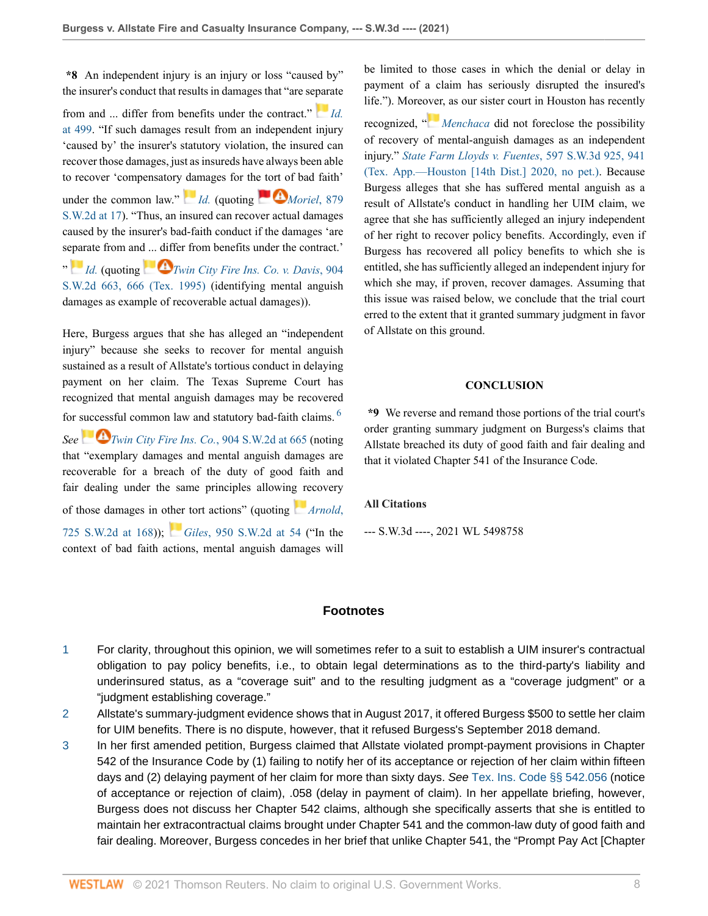**\*8** An independent injury is an injury or loss "caused by" the insurer's conduct that results in damages that "are se[para](https://1.next.westlaw.com/Link/RelatedInformation/Flag?documentGuid=Ic370bdd03f4111e89d97ba661a8e31a6&transitionType=InlineKeyCiteFlags&originationContext=docHeaderFlag&Rank=0&ppcid=789ba5403d2043929cb5701c49df8e38&contextData=(sc.Default) )te

from and ... differ from benefits under the contract." *[Id.](http://www.westlaw.com/Link/Document/FullText?findType=Y&serNum=2044350114&pubNum=0004644&originatingDoc=I3e80f1504d4611eca49eee526a477d8b&refType=RP&fi=co_pp_sp_4644_499&originationContext=document&vr=3.0&rs=cblt1.0&transitionType=DocumentItem&contextData=(sc.Default)#co_pp_sp_4644_499)* [at 499.](http://www.westlaw.com/Link/Document/FullText?findType=Y&serNum=2044350114&pubNum=0004644&originatingDoc=I3e80f1504d4611eca49eee526a477d8b&refType=RP&fi=co_pp_sp_4644_499&originationContext=document&vr=3.0&rs=cblt1.0&transitionType=DocumentItem&contextData=(sc.Default)#co_pp_sp_4644_499) "If such damages result from an independent injury 'caused by' the insurer's statutory violation, the insured can recover those damages, just as insureds have always been able to recover 'compensatory [dam](https://1.next.westlaw.com/Link/RelatedInformation/Flag?documentGuid=Ic370bdd03f4111e89d97ba661a8e31a6&transitionType=InlineKeyCiteFlags&originationContext=docHeaderFlag&Rank=0&ppcid=789ba5403d2043929cb5701c49df8e38&contextData=(sc.Default) )ages for th[e tort o](https://1.next.westlaw.com/Link/RelatedInformation/Flag?documentGuid=I20b051a7e7c511d983e7e9deff98dc6f&transitionType=InlineKeyCiteFlags&originationContext=docHeaderFlag&Rank=0&ppcid=789ba5403d2043929cb5701c49df8e38&contextData=(sc.Default) )f bad faith' under the common law."  $Id.$  (quoting  $Moriel$ , 879 [S.W.2d at 17](http://www.westlaw.com/Link/Document/FullText?findType=Y&serNum=1994125602&pubNum=0000713&originatingDoc=I3e80f1504d4611eca49eee526a477d8b&refType=RP&fi=co_pp_sp_713_17&originationContext=document&vr=3.0&rs=cblt1.0&transitionType=DocumentItem&contextData=(sc.Default)#co_pp_sp_713_17)). "Thus, an insured can recover actual damages caused by the insurer's bad-faith conduct if the damages 'are s[epar](https://1.next.westlaw.com/Link/RelatedInformation/Flag?documentGuid=Ic370bdd03f4111e89d97ba661a8e31a6&transitionType=InlineKeyCiteFlags&originationContext=docHeaderFlag&Rank=0&ppcid=789ba5403d2043929cb5701c49df8e38&contextData=(sc.Default) )ate from an[d ... dif](https://1.next.westlaw.com/Link/RelatedInformation/Flag?documentGuid=I4d1d8709e7c311d99439b076ef9ec4de&transitionType=InlineKeyCiteFlags&originationContext=docHeaderFlag&Rank=0&ppcid=789ba5403d2043929cb5701c49df8e38&contextData=(sc.Default) )fer from benefits under the contract.' " *[Id.](http://www.westlaw.com/Link/Document/FullText?findType=Y&serNum=2044350114&pubNum=0004644&originatingDoc=I3e80f1504d4611eca49eee526a477d8b&refType=RP&originationContext=document&vr=3.0&rs=cblt1.0&transitionType=DocumentItem&contextData=(sc.Default))* (quoting *[Twin City Fire Ins. Co. v. Davis](http://www.westlaw.com/Link/Document/FullText?findType=Y&serNum=1995146554&pubNum=0000713&originatingDoc=I3e80f1504d4611eca49eee526a477d8b&refType=RP&fi=co_pp_sp_713_666&originationContext=document&vr=3.0&rs=cblt1.0&transitionType=DocumentItem&contextData=(sc.Default)#co_pp_sp_713_666)*, 904 [S.W.2d 663, 666 \(Tex. 1995\)](http://www.westlaw.com/Link/Document/FullText?findType=Y&serNum=1995146554&pubNum=0000713&originatingDoc=I3e80f1504d4611eca49eee526a477d8b&refType=RP&fi=co_pp_sp_713_666&originationContext=document&vr=3.0&rs=cblt1.0&transitionType=DocumentItem&contextData=(sc.Default)#co_pp_sp_713_666) (identifying mental anguish damages as example of recoverable actual damages)).

Here, Burgess argues that she has alleged an "independent injury" because she seeks to recover for mental anguish sustained as a result of Allstate's tortious conduct in delaying payment on her claim. The Texas Supreme Court has recognized that mental anguish damages may be recovered for [success](https://1.next.westlaw.com/Link/RelatedInformation/Flag?documentGuid=I4d1d8709e7c311d99439b076ef9ec4de&transitionType=InlineKeyCiteFlags&originationContext=docHeaderFlag&Rank=0&ppcid=789ba5403d2043929cb5701c49df8e38&contextData=(sc.Default) )ful common law and statutory bad-faith claims. [6](#page-8-2) *See [Twin City Fire Ins. Co.](http://www.westlaw.com/Link/Document/FullText?findType=Y&serNum=1995146554&pubNum=0000713&originatingDoc=I3e80f1504d4611eca49eee526a477d8b&refType=RP&fi=co_pp_sp_713_665&originationContext=document&vr=3.0&rs=cblt1.0&transitionType=DocumentItem&contextData=(sc.Default)#co_pp_sp_713_665)*, 904 S.W.2d at 665 (noting that "exemplary damages and mental anguish damages are recoverable for a breach of the duty of good faith and fair dealing under the same principles allowin[g re](https://1.next.westlaw.com/Link/RelatedInformation/Flag?documentGuid=Ie968bb57e7a711d99439b076ef9ec4de&transitionType=InlineKeyCiteFlags&originationContext=docHeaderFlag&Rank=0&ppcid=789ba5403d2043929cb5701c49df8e38&contextData=(sc.Default) )covery of those damages in o[ther](https://1.next.westlaw.com/Link/RelatedInformation/Flag?documentGuid=I6ef3aa67e7c011d983e7e9deff98dc6f&transitionType=InlineKeyCiteFlags&originationContext=docHeaderFlag&Rank=0&ppcid=789ba5403d2043929cb5701c49df8e38&contextData=(sc.Default) ) tort actions" (quoting *[Arnold](http://www.westlaw.com/Link/Document/FullText?findType=Y&serNum=1987011572&pubNum=0000713&originatingDoc=I3e80f1504d4611eca49eee526a477d8b&refType=RP&fi=co_pp_sp_713_168&originationContext=document&vr=3.0&rs=cblt1.0&transitionType=DocumentItem&contextData=(sc.Default)#co_pp_sp_713_168)*, [725 S.W.2d at 168\)](http://www.westlaw.com/Link/Document/FullText?findType=Y&serNum=1987011572&pubNum=0000713&originatingDoc=I3e80f1504d4611eca49eee526a477d8b&refType=RP&fi=co_pp_sp_713_168&originationContext=document&vr=3.0&rs=cblt1.0&transitionType=DocumentItem&contextData=(sc.Default)#co_pp_sp_713_168)); *Giles*[, 950 S.W.2d at 54](http://www.westlaw.com/Link/Document/FullText?findType=Y&serNum=1997145151&pubNum=0000713&originatingDoc=I3e80f1504d4611eca49eee526a477d8b&refType=RP&fi=co_pp_sp_713_54&originationContext=document&vr=3.0&rs=cblt1.0&transitionType=DocumentItem&contextData=(sc.Default)#co_pp_sp_713_54) ("In the context of bad faith actions, mental anguish damages will

be limited to those cases in which the denial or delay in payment of a claim has seriously disrupted the insured's life."). More[over](https://1.next.westlaw.com/Link/RelatedInformation/Flag?documentGuid=Ic370bdd03f4111e89d97ba661a8e31a6&transitionType=InlineKeyCiteFlags&originationContext=docHeaderFlag&Rank=0&ppcid=789ba5403d2043929cb5701c49df8e38&contextData=(sc.Default) ), as our sister court in Houston has recently

recognized, " *[Menchaca](http://www.westlaw.com/Link/Document/FullText?findType=Y&serNum=2044350114&pubNum=0004644&originatingDoc=I3e80f1504d4611eca49eee526a477d8b&refType=RP&originationContext=document&vr=3.0&rs=cblt1.0&transitionType=DocumentItem&contextData=(sc.Default))* did not foreclose the possibility of recovery of mental-anguish damages as an independent injury." *[State Farm Lloyds v. Fuentes](http://www.westlaw.com/Link/Document/FullText?findType=Y&serNum=2050432982&pubNum=0004644&originatingDoc=I3e80f1504d4611eca49eee526a477d8b&refType=RP&fi=co_pp_sp_4644_941&originationContext=document&vr=3.0&rs=cblt1.0&transitionType=DocumentItem&contextData=(sc.Default)#co_pp_sp_4644_941)*, 597 S.W.3d 925, 941 [\(Tex. App.—Houston \[14th Dist.\] 2020, no pet.\)](http://www.westlaw.com/Link/Document/FullText?findType=Y&serNum=2050432982&pubNum=0004644&originatingDoc=I3e80f1504d4611eca49eee526a477d8b&refType=RP&fi=co_pp_sp_4644_941&originationContext=document&vr=3.0&rs=cblt1.0&transitionType=DocumentItem&contextData=(sc.Default)#co_pp_sp_4644_941). Because Burgess alleges that she has suffered mental anguish as a result of Allstate's conduct in handling her UIM claim, we agree that she has sufficiently alleged an injury independent of her right to recover policy benefits. Accordingly, even if Burgess has recovered all policy benefits to which she is entitled, she has sufficiently alleged an independent injury for which she may, if proven, recover damages. Assuming that this issue was raised below, we conclude that the trial court erred to the extent that it granted summary judgment in favor of Allstate on this ground.

#### **CONCLUSION**

<span id="page-7-3"></span>**\*9** We reverse and remand those portions of the trial court's order granting summary judgment on Burgess's claims that Allstate breached its duty of good faith and fair dealing and that it violated Chapter 541 of the Insurance Code.

### **All Citations**

--- S.W.3d ----, 2021 WL 5498758

### **Footnotes**

- <span id="page-7-0"></span>[1](#page-0-0) For clarity, throughout this opinion, we will sometimes refer to a suit to establish a UIM insurer's contractual obligation to pay policy benefits, i.e., to obtain legal determinations as to the third-party's liability and underinsured status, as a "coverage suit" and to the resulting judgment as a "coverage judgment" or a "judgment establishing coverage."
- <span id="page-7-1"></span>[2](#page-1-0) Allstate's summary-judgment evidence shows that in August 2017, it offered Burgess \$500 to settle her claim for UIM benefits. There is no dispute, however, that it refused Burgess's September 2018 demand.
- <span id="page-7-2"></span>[3](#page-2-0) In her first amended petition, Burgess claimed that Allstate violated prompt-payment provisions in Chapter 542 of the Insurance Code by (1) failing to notify her of its acceptance or rejection of her claim within fifteen days and (2) delaying payment of her claim for more than sixty days. See [Tex. Ins. Code §§ 542.056](http://www.westlaw.com/Link/Document/FullText?findType=L&pubNum=1000178&cite=TXINS542.056&originatingDoc=I3e80f1504d4611eca49eee526a477d8b&refType=LQ&originationContext=document&vr=3.0&rs=cblt1.0&transitionType=DocumentItem&contextData=(sc.Default)) (notice of acceptance or rejection of claim), .058 (delay in payment of claim). In her appellate briefing, however, Burgess does not discuss her Chapter 542 claims, although she specifically asserts that she is entitled to maintain her extracontractual claims brought under Chapter 541 and the common-law duty of good faith and fair dealing. Moreover, Burgess concedes in her brief that unlike Chapter 541, the "Prompt Pay Act [Chapter